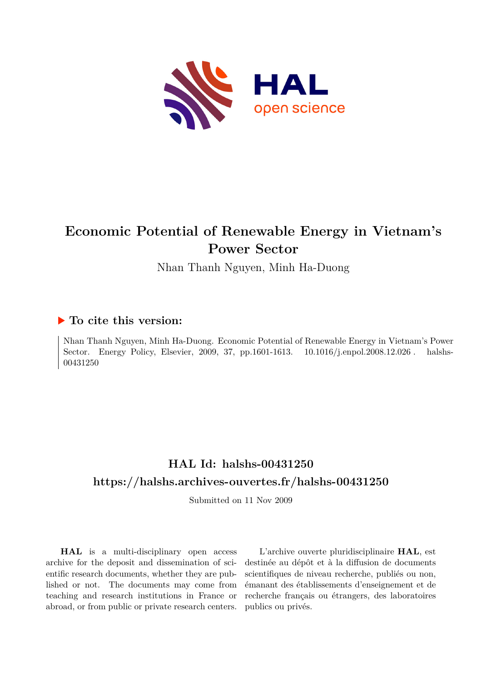

# **Economic Potential of Renewable Energy in Vietnam's Power Sector**

Nhan Thanh Nguyen, Minh Ha-Duong

## **To cite this version:**

Nhan Thanh Nguyen, Minh Ha-Duong. Economic Potential of Renewable Energy in Vietnam's Power Sector. Energy Policy, Elsevier, 2009, 37, pp.1601-1613. 10.1016/j.enpol.2008.12.026. halshs-00431250ff

## **HAL Id: halshs-00431250 <https://halshs.archives-ouvertes.fr/halshs-00431250>**

Submitted on 11 Nov 2009

**HAL** is a multi-disciplinary open access archive for the deposit and dissemination of scientific research documents, whether they are published or not. The documents may come from teaching and research institutions in France or abroad, or from public or private research centers.

L'archive ouverte pluridisciplinaire **HAL**, est destinée au dépôt et à la diffusion de documents scientifiques de niveau recherche, publiés ou non, émanant des établissements d'enseignement et de recherche français ou étrangers, des laboratoires publics ou privés.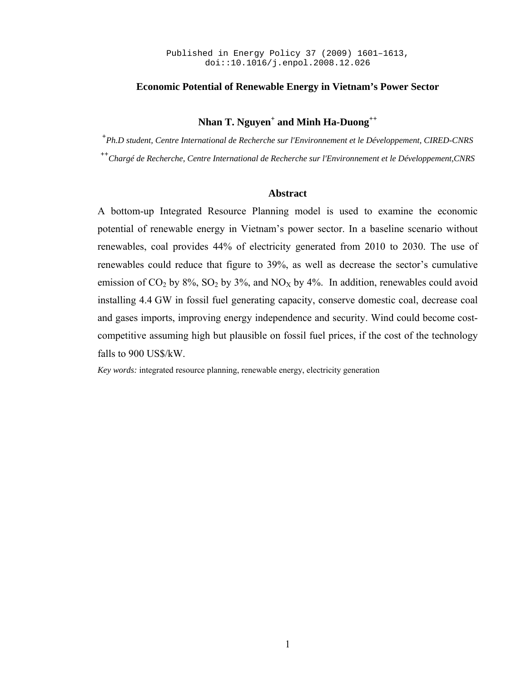#### **Economic Potential of Renewable Energy in Vietnam's Power Sector**

## **Nhan T. Nguyen+ and Minh Ha-Duong++**

**+** *Ph.D student, Centre International de Recherche sur l'Environnement et le Développement, CIRED-CNRS*  **++***Chargé de Recherche, Centre International de Recherche sur l'Environnement et le Développement,CNRS* 

#### **Abstract**

A bottom-up Integrated Resource Planning model is used to examine the economic potential of renewable energy in Vietnam's power sector. In a baseline scenario without renewables, coal provides 44% of electricity generated from 2010 to 2030. The use of renewables could reduce that figure to 39%, as well as decrease the sector's cumulative emission of  $CO_2$  by  $8\%$ ,  $SO_2$  by  $3\%$ , and  $NO_X$  by  $4\%$ . In addition, renewables could avoid installing 4.4 GW in fossil fuel generating capacity, conserve domestic coal, decrease coal and gases imports, improving energy independence and security. Wind could become costcompetitive assuming high but plausible on fossil fuel prices, if the cost of the technology falls to 900 US\$/kW.

*Key words:* integrated resource planning, renewable energy, electricity generation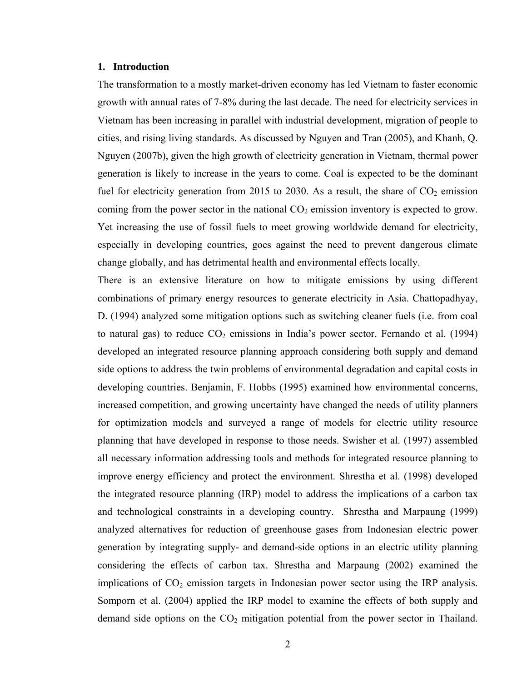#### **1. Introduction**

The transformation to a mostly market-driven economy has led Vietnam to faster economic growth with annual rates of 7-8% during the last decade. The need for electricity services in Vietnam has been increasing in parallel with industrial development, migration of people to cities, and rising living standards. As discussed by Nguyen and Tran (2005), and Khanh, Q. Nguyen (2007b), given the high growth of electricity generation in Vietnam, thermal power generation is likely to increase in the years to come. Coal is expected to be the dominant fuel for electricity generation from 2015 to 2030. As a result, the share of  $CO<sub>2</sub>$  emission coming from the power sector in the national  $CO<sub>2</sub>$  emission inventory is expected to grow. Yet increasing the use of fossil fuels to meet growing worldwide demand for electricity, especially in developing countries, goes against the need to prevent dangerous climate change globally, and has detrimental health and environmental effects locally.

There is an extensive literature on how to mitigate emissions by using different combinations of primary energy resources to generate electricity in Asia. Chattopadhyay, D. (1994) analyzed some mitigation options such as switching cleaner fuels (i.e. from coal to natural gas) to reduce  $CO<sub>2</sub>$  emissions in India's power sector. Fernando et al. (1994) developed an integrated resource planning approach considering both supply and demand side options to address the twin problems of environmental degradation and capital costs in developing countries. Benjamin, F. Hobbs (1995) examined how environmental concerns, increased competition, and growing uncertainty have changed the needs of utility planners for optimization models and surveyed a range of models for electric utility resource planning that have developed in response to those needs. Swisher et al. (1997) assembled all necessary information addressing tools and methods for integrated resource planning to improve energy efficiency and protect the environment. Shrestha et al. (1998) developed the integrated resource planning (IRP) model to address the implications of a carbon tax and technological constraints in a developing country. Shrestha and Marpaung (1999) analyzed alternatives for reduction of greenhouse gases from Indonesian electric power generation by integrating supply- and demand-side options in an electric utility planning considering the effects of carbon tax. Shrestha and Marpaung (2002) examined the implications of  $CO<sub>2</sub>$  emission targets in Indonesian power sector using the IRP analysis. Somporn et al. (2004) applied the IRP model to examine the effects of both supply and demand side options on the  $CO<sub>2</sub>$  mitigation potential from the power sector in Thailand.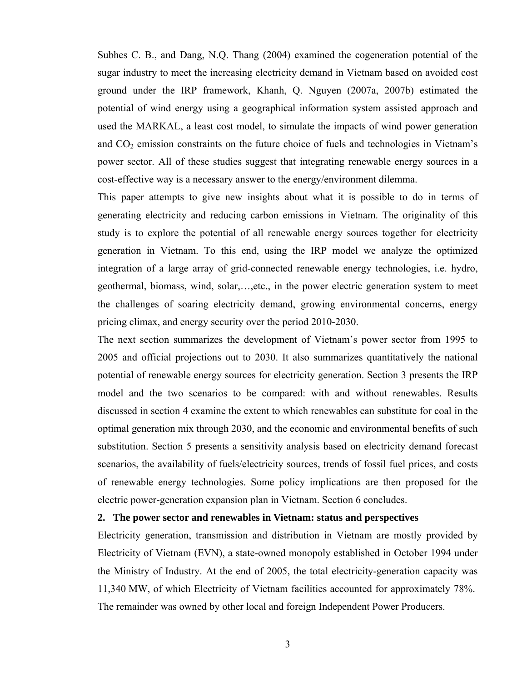Subhes C. B., and Dang, N.Q. Thang (2004) examined the cogeneration potential of the sugar industry to meet the increasing electricity demand in Vietnam based on avoided cost ground under the IRP framework, Khanh, Q. Nguyen (2007a, 2007b) estimated the potential of wind energy using a geographical information system assisted approach and used the MARKAL, a least cost model, to simulate the impacts of wind power generation and  $CO<sub>2</sub>$  emission constraints on the future choice of fuels and technologies in Vietnam's power sector. All of these studies suggest that integrating renewable energy sources in a cost-effective way is a necessary answer to the energy/environment dilemma.

This paper attempts to give new insights about what it is possible to do in terms of generating electricity and reducing carbon emissions in Vietnam. The originality of this study is to explore the potential of all renewable energy sources together for electricity generation in Vietnam. To this end, using the IRP model we analyze the optimized integration of a large array of grid-connected renewable energy technologies, i.e. hydro, geothermal, biomass, wind, solar,…,etc., in the power electric generation system to meet the challenges of soaring electricity demand, growing environmental concerns, energy pricing climax, and energy security over the period 2010-2030.

The next section summarizes the development of Vietnam's power sector from 1995 to 2005 and official projections out to 2030. It also summarizes quantitatively the national potential of renewable energy sources for electricity generation. Section 3 presents the IRP model and the two scenarios to be compared: with and without renewables. Results discussed in section 4 examine the extent to which renewables can substitute for coal in the optimal generation mix through 2030, and the economic and environmental benefits of such substitution. Section 5 presents a sensitivity analysis based on electricity demand forecast scenarios, the availability of fuels/electricity sources, trends of fossil fuel prices, and costs of renewable energy technologies. Some policy implications are then proposed for the electric power-generation expansion plan in Vietnam. Section 6 concludes.

#### **2. The power sector and renewables in Vietnam: status and perspectives**

Electricity generation, transmission and distribution in Vietnam are mostly provided by Electricity of Vietnam (EVN), a state-owned monopoly established in October 1994 under the Ministry of Industry. At the end of 2005, the total electricity-generation capacity was 11,340 MW, of which Electricity of Vietnam facilities accounted for approximately 78%. The remainder was owned by other local and foreign Independent Power Producers.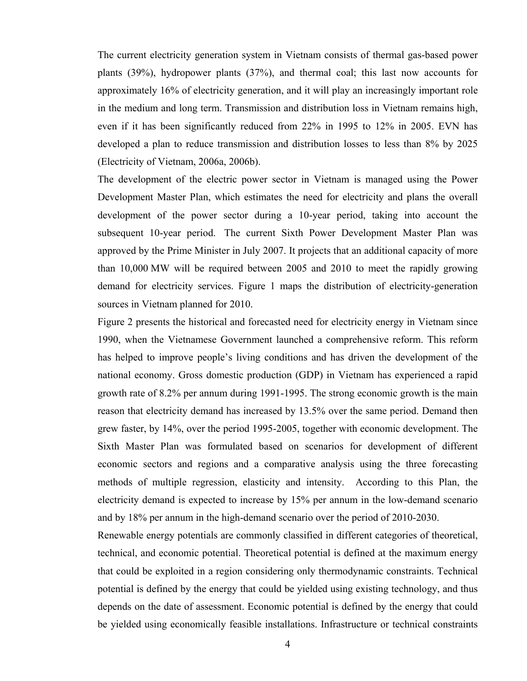The current electricity generation system in Vietnam consists of thermal gas-based power plants (39%), hydropower plants (37%), and thermal coal; this last now accounts for approximately 16% of electricity generation, and it will play an increasingly important role in the medium and long term. Transmission and distribution loss in Vietnam remains high, even if it has been significantly reduced from 22% in 1995 to 12% in 2005. EVN has developed a plan to reduce transmission and distribution losses to less than 8% by 2025 (Electricity of Vietnam, 2006a, 2006b).

The development of the electric power sector in Vietnam is managed using the Power Development Master Plan, which estimates the need for electricity and plans the overall development of the power sector during a 10-year period, taking into account the subsequent 10-year period. The current Sixth Power Development Master Plan was approved by the Prime Minister in July 2007. It projects that an additional capacity of more than 10,000 MW will be required between 2005 and 2010 to meet the rapidly growing demand for electricity services. Figure 1 maps the distribution of electricity-generation sources in Vietnam planned for 2010.

Figure 2 presents the historical and forecasted need for electricity energy in Vietnam since 1990, when the Vietnamese Government launched a comprehensive reform. This reform has helped to improve people's living conditions and has driven the development of the national economy. Gross domestic production (GDP) in Vietnam has experienced a rapid growth rate of 8.2% per annum during 1991-1995. The strong economic growth is the main reason that electricity demand has increased by 13.5% over the same period. Demand then grew faster, by 14%, over the period 1995-2005, together with economic development. The Sixth Master Plan was formulated based on scenarios for development of different economic sectors and regions and a comparative analysis using the three forecasting methods of multiple regression, elasticity and intensity. According to this Plan, the electricity demand is expected to increase by 15% per annum in the low-demand scenario and by 18% per annum in the high-demand scenario over the period of 2010-2030.

Renewable energy potentials are commonly classified in different categories of theoretical, technical, and economic potential. Theoretical potential is defined at the maximum energy that could be exploited in a region considering only thermodynamic constraints. Technical potential is defined by the energy that could be yielded using existing technology, and thus depends on the date of assessment. Economic potential is defined by the energy that could be yielded using economically feasible installations. Infrastructure or technical constraints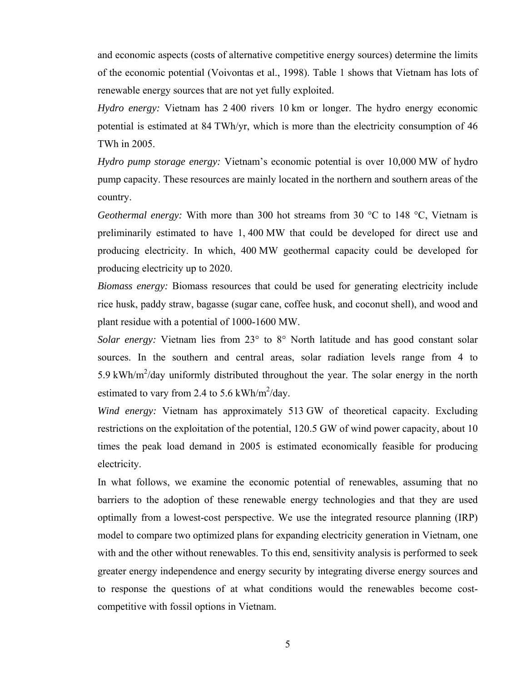and economic aspects (costs of alternative competitive energy sources) determine the limits of the economic potential (Voivontas et al., 1998). Table 1 shows that Vietnam has lots of renewable energy sources that are not yet fully exploited.

*Hydro energy:* Vietnam has 2 400 rivers 10 km or longer. The hydro energy economic potential is estimated at 84 TWh/yr, which is more than the electricity consumption of 46 TWh in 2005.

*Hydro pump storage energy:* Vietnam's economic potential is over 10,000 MW of hydro pump capacity. These resources are mainly located in the northern and southern areas of the country.

*Geothermal energy:* With more than 300 hot streams from 30 °C to 148 °C, Vietnam is preliminarily estimated to have 1, 400 MW that could be developed for direct use and producing electricity. In which, 400 MW geothermal capacity could be developed for producing electricity up to 2020.

*Biomass energy:* Biomass resources that could be used for generating electricity include rice husk, paddy straw, bagasse (sugar cane, coffee husk, and coconut shell), and wood and plant residue with a potential of 1000-1600 MW.

*Solar energy:* Vietnam lies from 23° to 8° North latitude and has good constant solar sources. In the southern and central areas, solar radiation levels range from 4 to 5.9 kWh/ $m^2$ /day uniformly distributed throughout the year. The solar energy in the north estimated to vary from 2.4 to 5.6 kWh/ $m^2$ /day.

*Wind energy:* Vietnam has approximately 513 GW of theoretical capacity. Excluding restrictions on the exploitation of the potential, 120.5 GW of wind power capacity, about 10 times the peak load demand in 2005 is estimated economically feasible for producing electricity.

In what follows, we examine the economic potential of renewables, assuming that no barriers to the adoption of these renewable energy technologies and that they are used optimally from a lowest-cost perspective. We use the integrated resource planning (IRP) model to compare two optimized plans for expanding electricity generation in Vietnam, one with and the other without renewables. To this end, sensitivity analysis is performed to seek greater energy independence and energy security by integrating diverse energy sources and to response the questions of at what conditions would the renewables become costcompetitive with fossil options in Vietnam.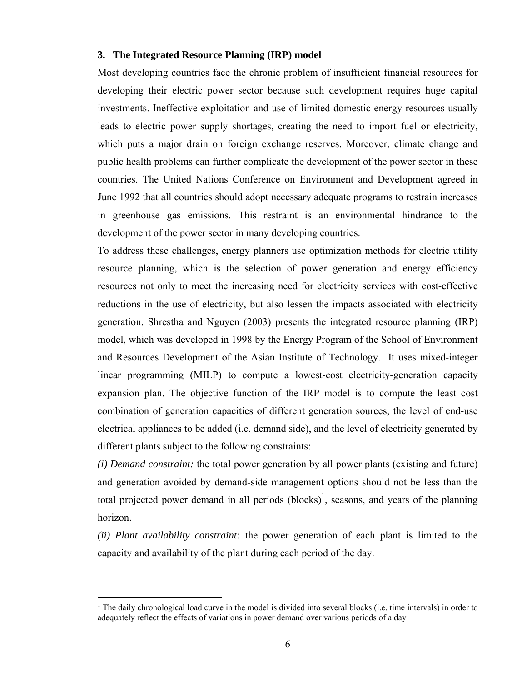#### **3. The Integrated Resource Planning (IRP) model**

Most developing countries face the chronic problem of insufficient financial resources for developing their electric power sector because such development requires huge capital investments. Ineffective exploitation and use of limited domestic energy resources usually leads to electric power supply shortages, creating the need to import fuel or electricity, which puts a major drain on foreign exchange reserves. Moreover, climate change and public health problems can further complicate the development of the power sector in these countries. The United Nations Conference on Environment and Development agreed in June 1992 that all countries should adopt necessary adequate programs to restrain increases in greenhouse gas emissions. This restraint is an environmental hindrance to the development of the power sector in many developing countries.

To address these challenges, energy planners use optimization methods for electric utility resource planning, which is the selection of power generation and energy efficiency resources not only to meet the increasing need for electricity services with cost-effective reductions in the use of electricity, but also lessen the impacts associated with electricity generation. Shrestha and Nguyen (2003) presents the integrated resource planning (IRP) model, which was developed in 1998 by the Energy Program of the School of Environment and Resources Development of the Asian Institute of Technology. It uses mixed-integer linear programming (MILP) to compute a lowest-cost electricity-generation capacity expansion plan. The objective function of the IRP model is to compute the least cost combination of generation capacities of different generation sources, the level of end-use electrical appliances to be added (i.e. demand side), and the level of electricity generated by different plants subject to the following constraints:

*(i) Demand constraint:* the total power generation by all power plants (existing and future) and generation avoided by demand-side management options should not be less than the total projected power demand in all periods  $\left($ blocks $\right)$ <sup>1</sup>, seasons, and years of the planning horizon.

*(ii) Plant availability constraint:* the power generation of each plant is limited to the capacity and availability of the plant during each period of the day.

 $\overline{a}$ 

<sup>&</sup>lt;sup>1</sup> The daily chronological load curve in the model is divided into several blocks (i.e. time intervals) in order to adequately reflect the effects of variations in power demand over various periods of a day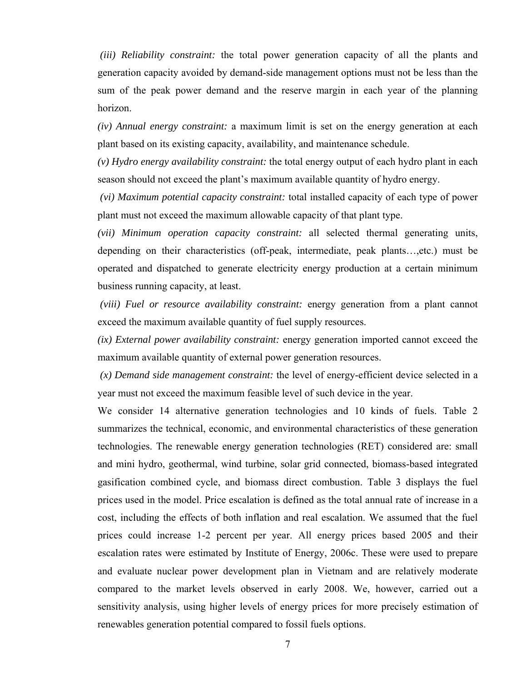*(iii) Reliability constraint:* the total power generation capacity of all the plants and generation capacity avoided by demand-side management options must not be less than the sum of the peak power demand and the reserve margin in each year of the planning horizon.

*(iv) Annual energy constraint:* a maximum limit is set on the energy generation at each plant based on its existing capacity, availability, and maintenance schedule.

*(v) Hydro energy availability constraint:* the total energy output of each hydro plant in each season should not exceed the plant's maximum available quantity of hydro energy.

 *(vi) Maximum potential capacity constraint:* total installed capacity of each type of power plant must not exceed the maximum allowable capacity of that plant type.

*(vii) Minimum operation capacity constraint:* all selected thermal generating units, depending on their characteristics (off-peak, intermediate, peak plants…,etc.) must be operated and dispatched to generate electricity energy production at a certain minimum business running capacity, at least.

 *(viii) Fuel or resource availability constraint:* energy generation from a plant cannot exceed the maximum available quantity of fuel supply resources.

*(ix) External power availability constraint:* energy generation imported cannot exceed the maximum available quantity of external power generation resources.

 *(x) Demand side management constraint:* the level of energy-efficient device selected in a year must not exceed the maximum feasible level of such device in the year.

We consider 14 alternative generation technologies and 10 kinds of fuels. Table 2 summarizes the technical, economic, and environmental characteristics of these generation technologies. The renewable energy generation technologies (RET) considered are: small and mini hydro, geothermal, wind turbine, solar grid connected, biomass-based integrated gasification combined cycle, and biomass direct combustion. Table 3 displays the fuel prices used in the model. Price escalation is defined as the total annual rate of increase in a cost, including the effects of both inflation and real escalation. We assumed that the fuel prices could increase 1-2 percent per year. All energy prices based 2005 and their escalation rates were estimated by Institute of Energy, 2006c. These were used to prepare and evaluate nuclear power development plan in Vietnam and are relatively moderate compared to the market levels observed in early 2008. We, however, carried out a sensitivity analysis, using higher levels of energy prices for more precisely estimation of renewables generation potential compared to fossil fuels options.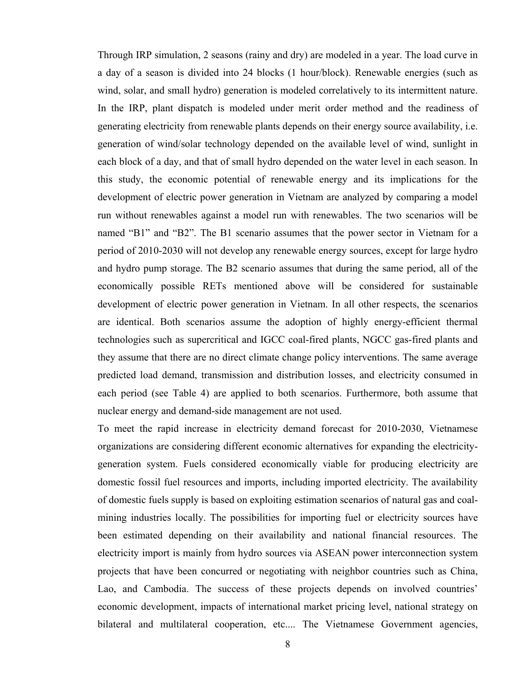Through IRP simulation, 2 seasons (rainy and dry) are modeled in a year. The load curve in a day of a season is divided into 24 blocks (1 hour/block). Renewable energies (such as wind, solar, and small hydro) generation is modeled correlatively to its intermittent nature. In the IRP, plant dispatch is modeled under merit order method and the readiness of generating electricity from renewable plants depends on their energy source availability, i.e. generation of wind/solar technology depended on the available level of wind, sunlight in each block of a day, and that of small hydro depended on the water level in each season. In this study, the economic potential of renewable energy and its implications for the development of electric power generation in Vietnam are analyzed by comparing a model run without renewables against a model run with renewables. The two scenarios will be named "B1" and "B2". The B1 scenario assumes that the power sector in Vietnam for a period of 2010-2030 will not develop any renewable energy sources, except for large hydro and hydro pump storage. The B2 scenario assumes that during the same period, all of the economically possible RETs mentioned above will be considered for sustainable development of electric power generation in Vietnam. In all other respects, the scenarios are identical. Both scenarios assume the adoption of highly energy-efficient thermal technologies such as supercritical and IGCC coal-fired plants, NGCC gas-fired plants and they assume that there are no direct climate change policy interventions. The same average predicted load demand, transmission and distribution losses, and electricity consumed in each period (see Table 4) are applied to both scenarios. Furthermore, both assume that nuclear energy and demand-side management are not used.

To meet the rapid increase in electricity demand forecast for 2010-2030, Vietnamese organizations are considering different economic alternatives for expanding the electricitygeneration system. Fuels considered economically viable for producing electricity are domestic fossil fuel resources and imports, including imported electricity. The availability of domestic fuels supply is based on exploiting estimation scenarios of natural gas and coalmining industries locally. The possibilities for importing fuel or electricity sources have been estimated depending on their availability and national financial resources. The electricity import is mainly from hydro sources via ASEAN power interconnection system projects that have been concurred or negotiating with neighbor countries such as China, Lao, and Cambodia. The success of these projects depends on involved countries' economic development, impacts of international market pricing level, national strategy on bilateral and multilateral cooperation, etc.... The Vietnamese Government agencies,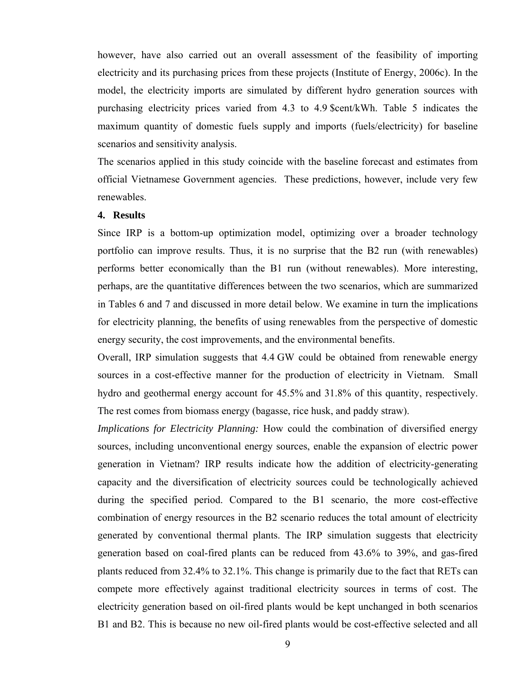however, have also carried out an overall assessment of the feasibility of importing electricity and its purchasing prices from these projects (Institute of Energy, 2006c). In the model, the electricity imports are simulated by different hydro generation sources with purchasing electricity prices varied from 4.3 to 4.9 \$cent/kWh. Table 5 indicates the maximum quantity of domestic fuels supply and imports (fuels/electricity) for baseline scenarios and sensitivity analysis.

The scenarios applied in this study coincide with the baseline forecast and estimates from official Vietnamese Government agencies. These predictions, however, include very few renewables.

#### **4. Results**

Since IRP is a bottom-up optimization model, optimizing over a broader technology portfolio can improve results. Thus, it is no surprise that the B2 run (with renewables) performs better economically than the B1 run (without renewables). More interesting, perhaps, are the quantitative differences between the two scenarios, which are summarized in Tables 6 and 7 and discussed in more detail below. We examine in turn the implications for electricity planning, the benefits of using renewables from the perspective of domestic energy security, the cost improvements, and the environmental benefits.

Overall, IRP simulation suggests that 4.4 GW could be obtained from renewable energy sources in a cost-effective manner for the production of electricity in Vietnam. Small hydro and geothermal energy account for 45.5% and 31.8% of this quantity, respectively. The rest comes from biomass energy (bagasse, rice husk, and paddy straw).

*Implications for Electricity Planning:* How could the combination of diversified energy sources, including unconventional energy sources, enable the expansion of electric power generation in Vietnam? IRP results indicate how the addition of electricity-generating capacity and the diversification of electricity sources could be technologically achieved during the specified period. Compared to the B1 scenario, the more cost-effective combination of energy resources in the B2 scenario reduces the total amount of electricity generated by conventional thermal plants. The IRP simulation suggests that electricity generation based on coal-fired plants can be reduced from 43.6% to 39%, and gas-fired plants reduced from 32.4% to 32.1%. This change is primarily due to the fact that RETs can compete more effectively against traditional electricity sources in terms of cost. The electricity generation based on oil-fired plants would be kept unchanged in both scenarios B1 and B2. This is because no new oil-fired plants would be cost-effective selected and all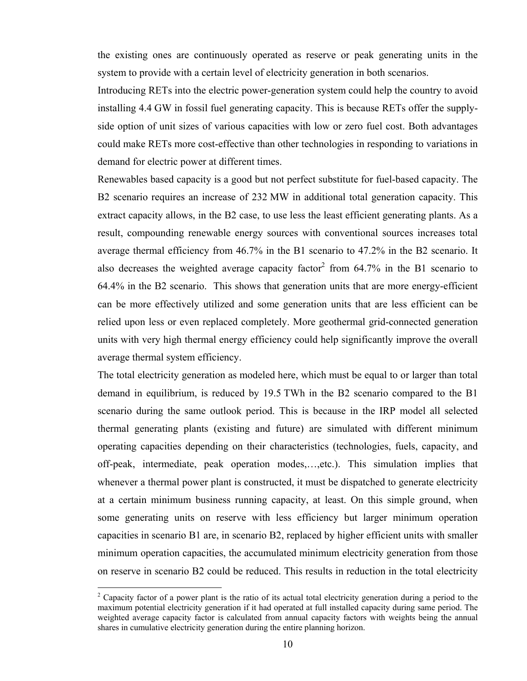the existing ones are continuously operated as reserve or peak generating units in the system to provide with a certain level of electricity generation in both scenarios.

Introducing RETs into the electric power-generation system could help the country to avoid installing 4.4 GW in fossil fuel generating capacity. This is because RETs offer the supplyside option of unit sizes of various capacities with low or zero fuel cost. Both advantages could make RETs more cost-effective than other technologies in responding to variations in demand for electric power at different times.

Renewables based capacity is a good but not perfect substitute for fuel-based capacity. The B2 scenario requires an increase of 232 MW in additional total generation capacity. This extract capacity allows, in the B2 case, to use less the least efficient generating plants. As a result, compounding renewable energy sources with conventional sources increases total average thermal efficiency from 46.7% in the B1 scenario to 47.2% in the B2 scenario. It also decreases the weighted average capacity factor<sup>2</sup> from 64.7% in the B1 scenario to 64.4% in the B2 scenario. This shows that generation units that are more energy-efficient can be more effectively utilized and some generation units that are less efficient can be relied upon less or even replaced completely. More geothermal grid-connected generation units with very high thermal energy efficiency could help significantly improve the overall average thermal system efficiency.

The total electricity generation as modeled here, which must be equal to or larger than total demand in equilibrium, is reduced by 19.5 TWh in the B2 scenario compared to the B1 scenario during the same outlook period. This is because in the IRP model all selected thermal generating plants (existing and future) are simulated with different minimum operating capacities depending on their characteristics (technologies, fuels, capacity, and off-peak, intermediate, peak operation modes,…,etc.). This simulation implies that whenever a thermal power plant is constructed, it must be dispatched to generate electricity at a certain minimum business running capacity, at least. On this simple ground, when some generating units on reserve with less efficiency but larger minimum operation capacities in scenario B1 are, in scenario B2, replaced by higher efficient units with smaller minimum operation capacities, the accumulated minimum electricity generation from those on reserve in scenario B2 could be reduced. This results in reduction in the total electricity

 $\overline{a}$ 

<sup>&</sup>lt;sup>2</sup> Capacity factor of a power plant is the ratio of its actual total electricity generation during a period to the maximum potential electricity generation if it had operated at full installed capacity during same period. The weighted average capacity factor is calculated from annual capacity factors with weights being the annual shares in cumulative electricity generation during the entire planning horizon.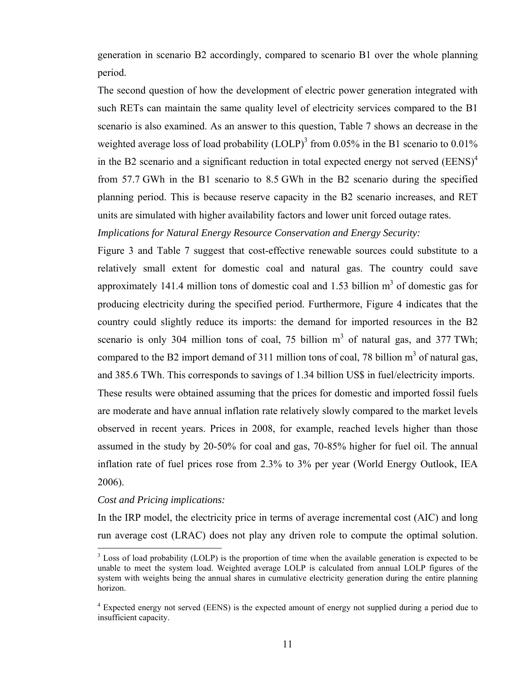generation in scenario B2 accordingly, compared to scenario B1 over the whole planning period.

The second question of how the development of electric power generation integrated with such RETs can maintain the same quality level of electricity services compared to the B1 scenario is also examined. As an answer to this question, Table 7 shows an decrease in the weighted average loss of load probability (LOLP)<sup>3</sup> from 0.05% in the B1 scenario to 0.01% in the B2 scenario and a significant reduction in total expected energy not served  $(EENS)^4$ from 57.7 GWh in the B1 scenario to 8.5 GWh in the B2 scenario during the specified planning period. This is because reserve capacity in the B2 scenario increases, and RET units are simulated with higher availability factors and lower unit forced outage rates.

*Implications for Natural Energy Resource Conservation and Energy Security:*

Figure 3 and Table 7 suggest that cost-effective renewable sources could substitute to a relatively small extent for domestic coal and natural gas. The country could save approximately 141.4 million tons of domestic coal and 1.53 billion  $m<sup>3</sup>$  of domestic gas for producing electricity during the specified period. Furthermore, Figure 4 indicates that the country could slightly reduce its imports: the demand for imported resources in the B2 scenario is only 304 million tons of coal, 75 billion  $m<sup>3</sup>$  of natural gas, and 377 TWh; compared to the B2 import demand of 311 million tons of coal, 78 billion  $m<sup>3</sup>$  of natural gas, and 385.6 TWh. This corresponds to savings of 1.34 billion US\$ in fuel/electricity imports.

These results were obtained assuming that the prices for domestic and imported fossil fuels are moderate and have annual inflation rate relatively slowly compared to the market levels observed in recent years. Prices in 2008, for example, reached levels higher than those assumed in the study by 20-50% for coal and gas, 70-85% higher for fuel oil. The annual inflation rate of fuel prices rose from 2.3% to 3% per year (World Energy Outlook, IEA 2006).

#### *Cost and Pricing implications:*

 $\overline{a}$ 

In the IRP model, the electricity price in terms of average incremental cost (AIC) and long run average cost (LRAC) does not play any driven role to compute the optimal solution.

 $3$  Loss of load probability (LOLP) is the proportion of time when the available generation is expected to be unable to meet the system load. Weighted average LOLP is calculated from annual LOLP figures of the system with weights being the annual shares in cumulative electricity generation during the entire planning horizon.

<sup>&</sup>lt;sup>4</sup> Expected energy not served (EENS) is the expected amount of energy not supplied during a period due to insufficient capacity.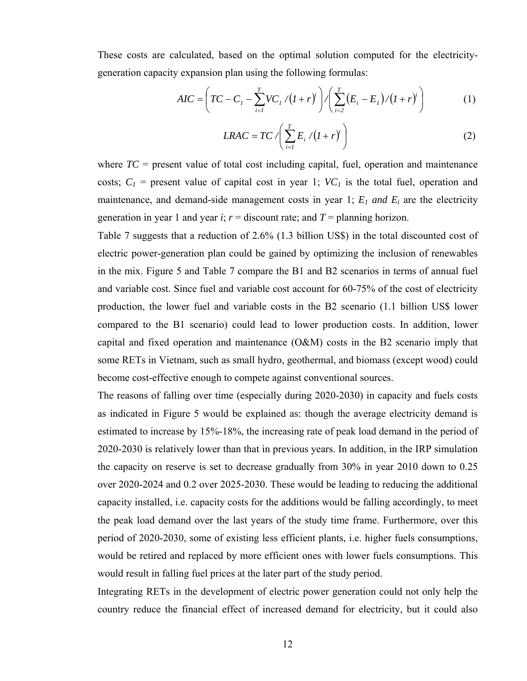These costs are calculated, based on the optimal solution computed for the electricitygeneration capacity expansion plan using the following formulas:

$$
AIC = \left( TC - C_1 - \sum_{i=1}^{T} VC_i / (1+r)^i \right) / \left( \sum_{i=2}^{T} (E_i - E_1) / (1+r)^i \right)
$$
 (1)

$$
LRAC = TC \left( \sum_{i=1}^{T} E_i / (I + r)^i \right)
$$
 (2)

where  $TC$  = present value of total cost including capital, fuel, operation and maintenance costs;  $C_1$  = present value of capital cost in year 1;  $VC_1$  is the total fuel, operation and maintenance, and demand-side management costs in year 1; *E1 and Ei* are the electricity generation in year 1 and year *i*;  $r =$  discount rate; and  $T =$  planning horizon.

Table 7 suggests that a reduction of 2.6% (1.3 billion US\$) in the total discounted cost of electric power-generation plan could be gained by optimizing the inclusion of renewables in the mix. Figure 5 and Table 7 compare the B1 and B2 scenarios in terms of annual fuel and variable cost. Since fuel and variable cost account for 60-75% of the cost of electricity production, the lower fuel and variable costs in the B2 scenario (1.1 billion US\$ lower compared to the B1 scenario) could lead to lower production costs. In addition, lower capital and fixed operation and maintenance (O&M) costs in the B2 scenario imply that some RETs in Vietnam, such as small hydro, geothermal, and biomass (except wood) could become cost-effective enough to compete against conventional sources.

The reasons of falling over time (especially during 2020-2030) in capacity and fuels costs as indicated in Figure 5 would be explained as: though the average electricity demand is estimated to increase by 15%-18%, the increasing rate of peak load demand in the period of 2020-2030 is relatively lower than that in previous years. In addition, in the IRP simulation the capacity on reserve is set to decrease gradually from 30% in year 2010 down to 0.25 over 2020-2024 and 0.2 over 2025-2030. These would be leading to reducing the additional capacity installed, i.e. capacity costs for the additions would be falling accordingly, to meet the peak load demand over the last years of the study time frame. Furthermore, over this period of 2020-2030, some of existing less efficient plants, i.e. higher fuels consumptions, would be retired and replaced by more efficient ones with lower fuels consumptions. This would result in falling fuel prices at the later part of the study period.

Integrating RETs in the development of electric power generation could not only help the country reduce the financial effect of increased demand for electricity, but it could also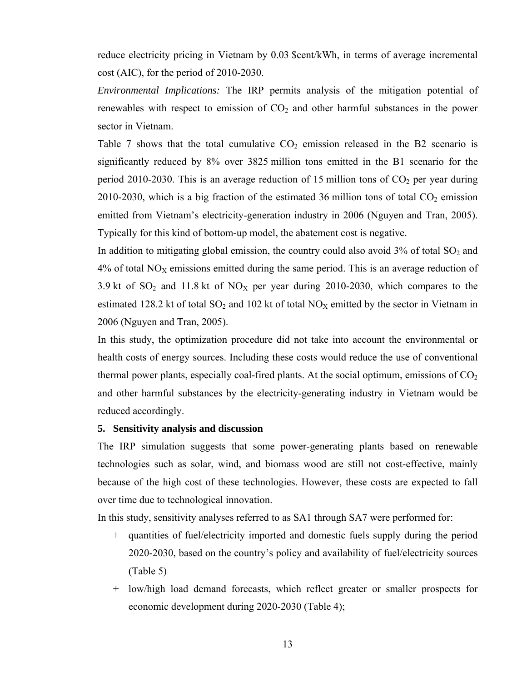reduce electricity pricing in Vietnam by 0.03 \$cent/kWh, in terms of average incremental cost (AIC), for the period of 2010-2030.

*Environmental Implications:* The IRP permits analysis of the mitigation potential of renewables with respect to emission of  $CO<sub>2</sub>$  and other harmful substances in the power sector in Vietnam.

Table 7 shows that the total cumulative  $CO<sub>2</sub>$  emission released in the B2 scenario is significantly reduced by 8% over 3825 million tons emitted in the B1 scenario for the period 2010-2030. This is an average reduction of 15 million tons of  $CO<sub>2</sub>$  per year during 2010-2030, which is a big fraction of the estimated 36 million tons of total  $CO<sub>2</sub>$  emission emitted from Vietnam's electricity-generation industry in 2006 (Nguyen and Tran, 2005). Typically for this kind of bottom-up model, the abatement cost is negative.

In addition to mitigating global emission, the country could also avoid  $3\%$  of total  $SO_2$  and  $4\%$  of total NO<sub>X</sub> emissions emitted during the same period. This is an average reduction of 3.9 kt of  $SO_2$  and 11.8 kt of  $NO_X$  per year during 2010-2030, which compares to the estimated 128.2 kt of total  $SO_2$  and 102 kt of total  $NO<sub>X</sub>$  emitted by the sector in Vietnam in 2006 (Nguyen and Tran, 2005).

In this study, the optimization procedure did not take into account the environmental or health costs of energy sources. Including these costs would reduce the use of conventional thermal power plants, especially coal-fired plants. At the social optimum, emissions of  $CO<sub>2</sub>$ and other harmful substances by the electricity-generating industry in Vietnam would be reduced accordingly.

#### **5. Sensitivity analysis and discussion**

The IRP simulation suggests that some power-generating plants based on renewable technologies such as solar, wind, and biomass wood are still not cost-effective, mainly because of the high cost of these technologies. However, these costs are expected to fall over time due to technological innovation.

In this study, sensitivity analyses referred to as SA1 through SA7 were performed for:

- + quantities of fuel/electricity imported and domestic fuels supply during the period 2020-2030, based on the country's policy and availability of fuel/electricity sources (Table 5)
- + low/high load demand forecasts, which reflect greater or smaller prospects for economic development during 2020-2030 (Table 4);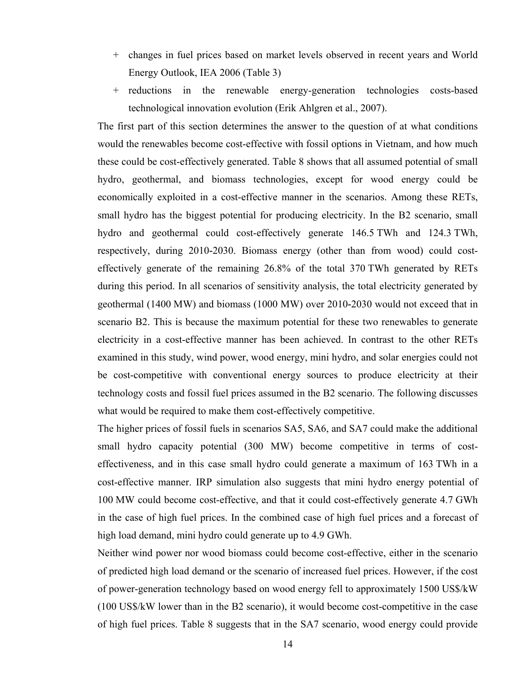- + changes in fuel prices based on market levels observed in recent years and World Energy Outlook, IEA 2006 (Table 3)
- + reductions in the renewable energy-generation technologies costs-based technological innovation evolution (Erik Ahlgren et al., 2007).

The first part of this section determines the answer to the question of at what conditions would the renewables become cost-effective with fossil options in Vietnam, and how much these could be cost-effectively generated. Table 8 shows that all assumed potential of small hydro, geothermal, and biomass technologies, except for wood energy could be economically exploited in a cost-effective manner in the scenarios. Among these RETs, small hydro has the biggest potential for producing electricity. In the B2 scenario, small hydro and geothermal could cost-effectively generate 146.5 TWh and 124.3 TWh, respectively, during 2010**-**2030. Biomass energy (other than from wood) could costeffectively generate of the remaining 26.8% of the total 370 TWh generated by RETs during this period. In all scenarios of sensitivity analysis, the total electricity generated by geothermal (1400 MW) and biomass (1000 MW) over 2010**-**2030 would not exceed that in scenario B2. This is because the maximum potential for these two renewables to generate electricity in a cost-effective manner has been achieved. In contrast to the other RETs examined in this study, wind power, wood energy, mini hydro, and solar energies could not be cost-competitive with conventional energy sources to produce electricity at their technology costs and fossil fuel prices assumed in the B2 scenario. The following discusses what would be required to make them cost-effectively competitive.

The higher prices of fossil fuels in scenarios SA5, SA6, and SA7 could make the additional small hydro capacity potential (300 MW) become competitive in terms of costeffectiveness, and in this case small hydro could generate a maximum of 163 TWh in a cost-effective manner. IRP simulation also suggests that mini hydro energy potential of 100 MW could become cost-effective, and that it could cost-effectively generate 4.7 GWh in the case of high fuel prices. In the combined case of high fuel prices and a forecast of high load demand, mini hydro could generate up to 4.9 GWh.

Neither wind power nor wood biomass could become cost-effective, either in the scenario of predicted high load demand or the scenario of increased fuel prices. However, if the cost of power-generation technology based on wood energy fell to approximately 1500 US\$/kW (100 US\$/kW lower than in the B2 scenario), it would become cost-competitive in the case of high fuel prices. Table 8 suggests that in the SA7 scenario, wood energy could provide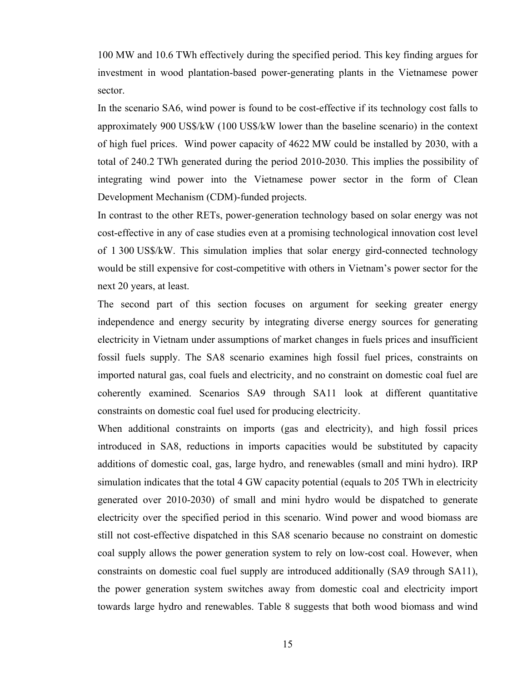100 MW and 10.6 TWh effectively during the specified period. This key finding argues for investment in wood plantation-based power-generating plants in the Vietnamese power sector.

In the scenario SA6, wind power is found to be cost-effective if its technology cost falls to approximately 900 US\$/kW (100 US\$/kW lower than the baseline scenario) in the context of high fuel prices. Wind power capacity of 4622 MW could be installed by 2030, with a total of 240.2 TWh generated during the period 2010-2030. This implies the possibility of integrating wind power into the Vietnamese power sector in the form of Clean Development Mechanism (CDM)-funded projects.

In contrast to the other RETs, power-generation technology based on solar energy was not cost-effective in any of case studies even at a promising technological innovation cost level of 1 300 US\$/kW. This simulation implies that solar energy gird-connected technology would be still expensive for cost-competitive with others in Vietnam's power sector for the next 20 years, at least.

The second part of this section focuses on argument for seeking greater energy independence and energy security by integrating diverse energy sources for generating electricity in Vietnam under assumptions of market changes in fuels prices and insufficient fossil fuels supply. The SA8 scenario examines high fossil fuel prices, constraints on imported natural gas, coal fuels and electricity, and no constraint on domestic coal fuel are coherently examined. Scenarios SA9 through SA11 look at different quantitative constraints on domestic coal fuel used for producing electricity.

When additional constraints on imports (gas and electricity), and high fossil prices introduced in SA8, reductions in imports capacities would be substituted by capacity additions of domestic coal, gas, large hydro, and renewables (small and mini hydro). IRP simulation indicates that the total 4 GW capacity potential (equals to 205 TWh in electricity generated over 2010-2030) of small and mini hydro would be dispatched to generate electricity over the specified period in this scenario. Wind power and wood biomass are still not cost-effective dispatched in this SA8 scenario because no constraint on domestic coal supply allows the power generation system to rely on low-cost coal. However, when constraints on domestic coal fuel supply are introduced additionally (SA9 through SA11), the power generation system switches away from domestic coal and electricity import towards large hydro and renewables. Table 8 suggests that both wood biomass and wind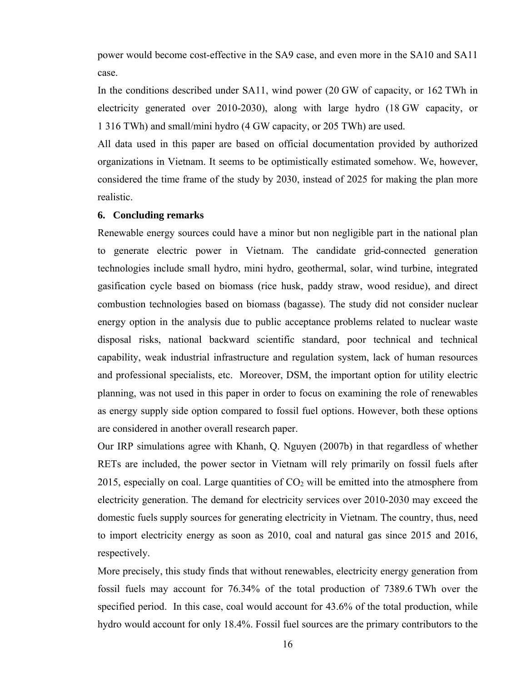power would become cost-effective in the SA9 case, and even more in the SA10 and SA11 case.

In the conditions described under SA11, wind power (20 GW of capacity, or 162 TWh in electricity generated over 2010-2030), along with large hydro (18 GW capacity, or 1 316 TWh) and small/mini hydro (4 GW capacity, or 205 TWh) are used.

All data used in this paper are based on official documentation provided by authorized organizations in Vietnam. It seems to be optimistically estimated somehow. We, however, considered the time frame of the study by 2030, instead of 2025 for making the plan more realistic.

#### **6. Concluding remarks**

Renewable energy sources could have a minor but non negligible part in the national plan to generate electric power in Vietnam. The candidate grid-connected generation technologies include small hydro, mini hydro, geothermal, solar, wind turbine, integrated gasification cycle based on biomass (rice husk, paddy straw, wood residue), and direct combustion technologies based on biomass (bagasse). The study did not consider nuclear energy option in the analysis due to public acceptance problems related to nuclear waste disposal risks, national backward scientific standard, poor technical and technical capability, weak industrial infrastructure and regulation system, lack of human resources and professional specialists, etc. Moreover, DSM, the important option for utility electric planning, was not used in this paper in order to focus on examining the role of renewables as energy supply side option compared to fossil fuel options. However, both these options are considered in another overall research paper.

Our IRP simulations agree with Khanh, Q. Nguyen (2007b) in that regardless of whether RETs are included, the power sector in Vietnam will rely primarily on fossil fuels after 2015, especially on coal. Large quantities of  $CO<sub>2</sub>$  will be emitted into the atmosphere from electricity generation. The demand for electricity services over 2010-2030 may exceed the domestic fuels supply sources for generating electricity in Vietnam. The country, thus, need to import electricity energy as soon as 2010, coal and natural gas since 2015 and 2016, respectively.

More precisely, this study finds that without renewables, electricity energy generation from fossil fuels may account for 76.34% of the total production of 7389.6 TWh over the specified period. In this case, coal would account for 43.6% of the total production, while hydro would account for only 18.4%. Fossil fuel sources are the primary contributors to the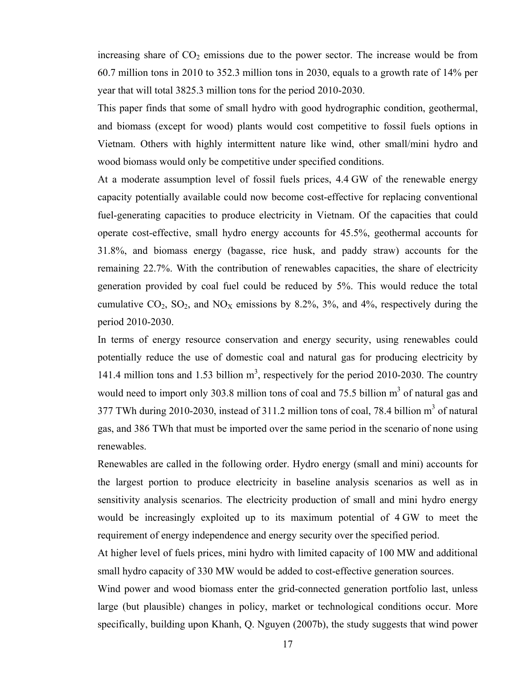increasing share of  $CO<sub>2</sub>$  emissions due to the power sector. The increase would be from 60.7 million tons in 2010 to 352.3 million tons in 2030, equals to a growth rate of 14% per year that will total 3825.3 million tons for the period 2010-2030.

This paper finds that some of small hydro with good hydrographic condition, geothermal, and biomass (except for wood) plants would cost competitive to fossil fuels options in Vietnam. Others with highly intermittent nature like wind, other small/mini hydro and wood biomass would only be competitive under specified conditions.

At a moderate assumption level of fossil fuels prices, 4.4 GW of the renewable energy capacity potentially available could now become cost-effective for replacing conventional fuel-generating capacities to produce electricity in Vietnam. Of the capacities that could operate cost-effective, small hydro energy accounts for 45.5%, geothermal accounts for 31.8%, and biomass energy (bagasse, rice husk, and paddy straw) accounts for the remaining 22.7%. With the contribution of renewables capacities, the share of electricity generation provided by coal fuel could be reduced by 5%. This would reduce the total cumulative  $CO_2$ ,  $SO_2$ , and  $NO_X$  emissions by 8.2%, 3%, and 4%, respectively during the period 2010-2030.

In terms of energy resource conservation and energy security, using renewables could potentially reduce the use of domestic coal and natural gas for producing electricity by 141.4 million tons and 1.53 billion  $m<sup>3</sup>$ , respectively for the period 2010-2030. The country would need to import only 303.8 million tons of coal and 75.5 billion  $m<sup>3</sup>$  of natural gas and 377 TWh during 2010-2030, instead of 311.2 million tons of coal, 78.4 billion  $m<sup>3</sup>$  of natural gas, and 386 TWh that must be imported over the same period in the scenario of none using renewables.

Renewables are called in the following order. Hydro energy (small and mini) accounts for the largest portion to produce electricity in baseline analysis scenarios as well as in sensitivity analysis scenarios. The electricity production of small and mini hydro energy would be increasingly exploited up to its maximum potential of 4 GW to meet the requirement of energy independence and energy security over the specified period.

At higher level of fuels prices, mini hydro with limited capacity of 100 MW and additional small hydro capacity of 330 MW would be added to cost-effective generation sources.

Wind power and wood biomass enter the grid-connected generation portfolio last, unless large (but plausible) changes in policy, market or technological conditions occur. More specifically, building upon Khanh, Q. Nguyen (2007b), the study suggests that wind power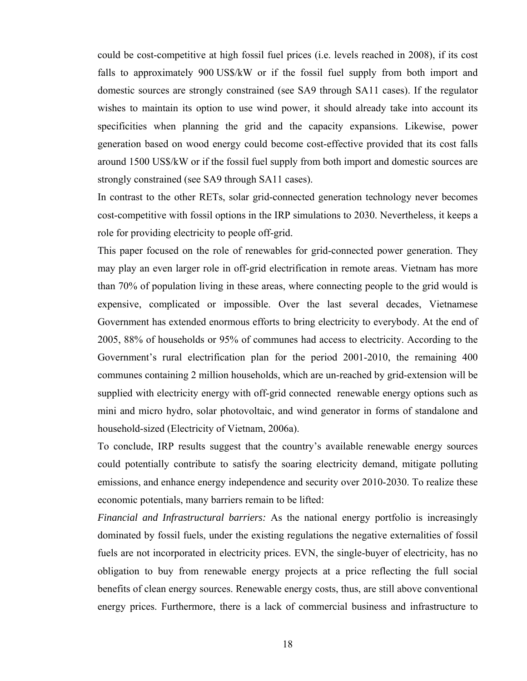could be cost-competitive at high fossil fuel prices (i.e. levels reached in 2008), if its cost falls to approximately 900 US\$/kW or if the fossil fuel supply from both import and domestic sources are strongly constrained (see SA9 through SA11 cases). If the regulator wishes to maintain its option to use wind power, it should already take into account its specificities when planning the grid and the capacity expansions. Likewise, power generation based on wood energy could become cost-effective provided that its cost falls around 1500 US\$/kW or if the fossil fuel supply from both import and domestic sources are strongly constrained (see SA9 through SA11 cases).

In contrast to the other RETs, solar grid-connected generation technology never becomes cost-competitive with fossil options in the IRP simulations to 2030. Nevertheless, it keeps a role for providing electricity to people off-grid.

This paper focused on the role of renewables for grid-connected power generation. They may play an even larger role in off-grid electrification in remote areas. Vietnam has more than 70% of population living in these areas, where connecting people to the grid would is expensive, complicated or impossible. Over the last several decades, Vietnamese Government has extended enormous efforts to bring electricity to everybody. At the end of 2005, 88% of households or 95% of communes had access to electricity. According to the Government's rural electrification plan for the period 2001-2010, the remaining 400 communes containing 2 million households, which are un-reached by grid-extension will be supplied with electricity energy with off-grid connected renewable energy options such as mini and micro hydro, solar photovoltaic, and wind generator in forms of standalone and household-sized (Electricity of Vietnam, 2006a).

To conclude, IRP results suggest that the country's available renewable energy sources could potentially contribute to satisfy the soaring electricity demand, mitigate polluting emissions, and enhance energy independence and security over 2010-2030. To realize these economic potentials, many barriers remain to be lifted:

*Financial and Infrastructural barriers:* As the national energy portfolio is increasingly dominated by fossil fuels, under the existing regulations the negative externalities of fossil fuels are not incorporated in electricity prices. EVN, the single-buyer of electricity, has no obligation to buy from renewable energy projects at a price reflecting the full social benefits of clean energy sources. Renewable energy costs, thus, are still above conventional energy prices. Furthermore, there is a lack of commercial business and infrastructure to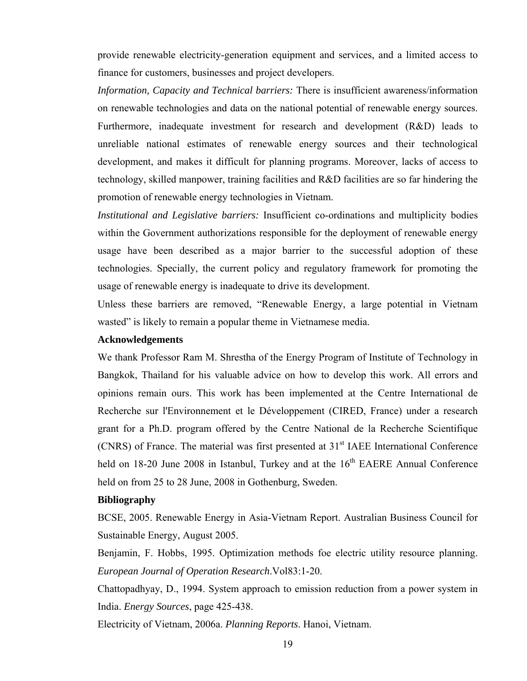provide renewable electricity-generation equipment and services, and a limited access to finance for customers, businesses and project developers.

*Information, Capacity and Technical barriers:* There is insufficient awareness/information on renewable technologies and data on the national potential of renewable energy sources. Furthermore, inadequate investment for research and development (R&D) leads to unreliable national estimates of renewable energy sources and their technological development, and makes it difficult for planning programs. Moreover, lacks of access to technology, skilled manpower, training facilities and R&D facilities are so far hindering the promotion of renewable energy technologies in Vietnam.

*Institutional and Legislative barriers:* Insufficient co-ordinations and multiplicity bodies within the Government authorizations responsible for the deployment of renewable energy usage have been described as a major barrier to the successful adoption of these technologies. Specially, the current policy and regulatory framework for promoting the usage of renewable energy is inadequate to drive its development.

Unless these barriers are removed, "Renewable Energy, a large potential in Vietnam wasted" is likely to remain a popular theme in Vietnamese media.

#### **Acknowledgements**

We thank Professor Ram M. Shrestha of the Energy Program of Institute of Technology in Bangkok, Thailand for his valuable advice on how to develop this work. All errors and opinions remain ours. This work has been implemented at the Centre International de Recherche sur l'Environnement et le Développement (CIRED, France) under a research grant for a Ph.D. program offered by the Centre National de la Recherche Scientifique  $(CNRS)$  of France. The material was first presented at  $31<sup>st</sup>$  IAEE International Conference held on  $18-20$  June  $2008$  in Istanbul, Turkey and at the  $16<sup>th</sup>$  EAERE Annual Conference held on from 25 to 28 June, 2008 in Gothenburg, Sweden.

#### **Bibliography**

BCSE, 2005. Renewable Energy in Asia-Vietnam Report. Australian Business Council for Sustainable Energy, August 2005.

Benjamin, F. Hobbs, 1995. Optimization methods foe electric utility resource planning. *European Journal of Operation Research*.Vol83:1-20.

Chattopadhyay, D., 1994. System approach to emission reduction from a power system in India. *Energy Sources*, page 425-438.

Electricity of Vietnam, 2006a. *Planning Reports*. Hanoi, Vietnam.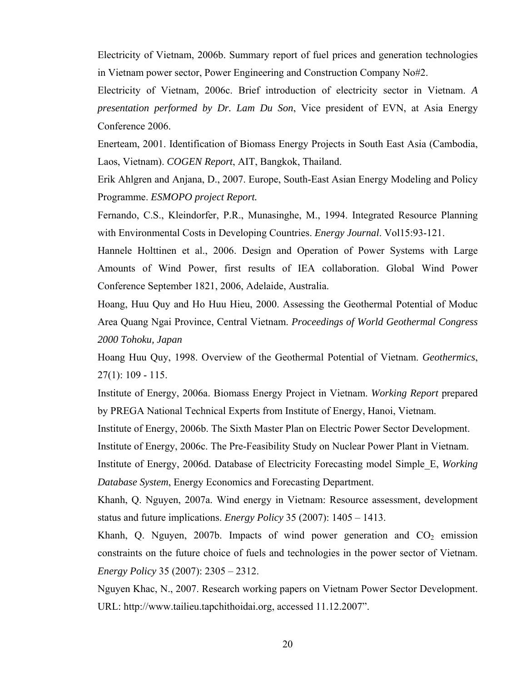Electricity of Vietnam, 2006b. Summary report of fuel prices and generation technologies in Vietnam power sector, Power Engineering and Construction Company No#2.

Electricity of Vietnam, 2006c. Brief introduction of electricity sector in Vietnam. *A presentation performed by Dr. Lam Du Son*, Vice president of EVN, at Asia Energy Conference 2006.

Enerteam, 2001. Identification of Biomass Energy Projects in South East Asia (Cambodia, Laos, Vietnam). *COGEN Report*, AIT, Bangkok, Thailand.

Erik Ahlgren and Anjana, D., 2007. Europe, South-East Asian Energy Modeling and Policy Programme. *ESMOPO project Report.* 

Fernando, C.S., Kleindorfer, P.R., Munasinghe, M., 1994. Integrated Resource Planning with Environmental Costs in Developing Countries. *Energy Journal*. Vol15:93-121.

Hannele Holttinen et al., 2006. Design and Operation of Power Systems with Large Amounts of Wind Power, first results of IEA collaboration. Global Wind Power Conference September 1821, 2006, Adelaide, Australia.

Hoang, Huu Quy and Ho Huu Hieu, 2000. Assessing the Geothermal Potential of Moduc Area Quang Ngai Province, Central Vietnam. *Proceedings of World Geothermal Congress 2000 Tohoku, Japan*

Hoang Huu Quy, 1998. Overview of the Geothermal Potential of Vietnam. *Geothermics*,  $27(1): 109 - 115.$ 

Institute of Energy, 2006a. Biomass Energy Project in Vietnam. *Working Report* prepared by PREGA National Technical Experts from Institute of Energy, Hanoi, Vietnam.

Institute of Energy, 2006b. The Sixth Master Plan on Electric Power Sector Development.

Institute of Energy, 2006c. The Pre-Feasibility Study on Nuclear Power Plant in Vietnam.

Institute of Energy, 2006d. Database of Electricity Forecasting model Simple\_E, *Working Database System*, Energy Economics and Forecasting Department.

Khanh, Q. Nguyen, 2007a. Wind energy in Vietnam: Resource assessment, development status and future implications. *Energy Policy* 35 (2007): 1405 – 1413.

Khanh, Q. Nguyen, 2007b. Impacts of wind power generation and  $CO<sub>2</sub>$  emission constraints on the future choice of fuels and technologies in the power sector of Vietnam. *Energy Policy* 35 (2007): 2305 – 2312.

Nguyen Khac, N., 2007. Research working papers on Vietnam Power Sector Development. URL: http://www.tailieu.tapchithoidai.org, accessed 11.12.2007".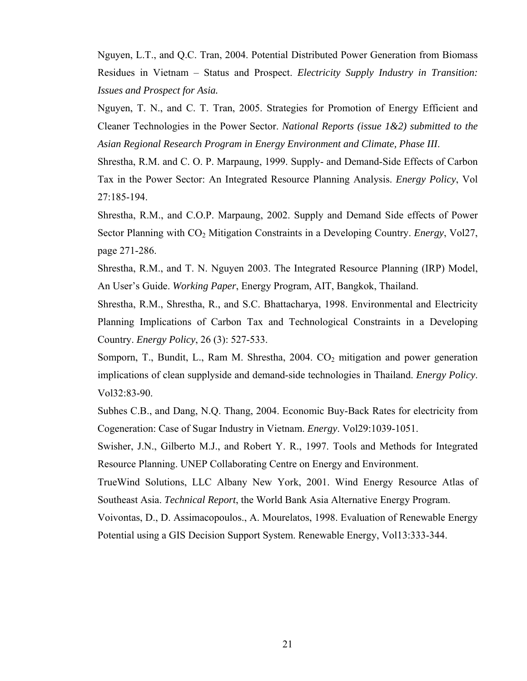Nguyen, L.T., and Q.C. Tran, 2004. Potential Distributed Power Generation from Biomass Residues in Vietnam – Status and Prospect. *Electricity Supply Industry in Transition: Issues and Prospect for Asia.* 

Nguyen, T. N., and C. T. Tran, 2005. Strategies for Promotion of Energy Efficient and Cleaner Technologies in the Power Sector. *National Reports (issue 1&2) submitted to the Asian Regional Research Program in Energy Environment and Climate, Phase III*.

Shrestha, R.M. and C. O. P. Marpaung, 1999. Supply- and Demand-Side Effects of Carbon Tax in the Power Sector: An Integrated Resource Planning Analysis. *Energy Policy*, Vol 27:185-194.

Shrestha, R.M., and C.O.P. Marpaung, 2002. Supply and Demand Side effects of Power Sector Planning with CO<sub>2</sub> Mitigation Constraints in a Developing Country. *Energy*, Vol27, page 271-286.

Shrestha, R.M., and T. N. Nguyen 2003. The Integrated Resource Planning (IRP) Model, An User's Guide. *Working Paper*, Energy Program, AIT, Bangkok, Thailand.

Shrestha, R.M., Shrestha, R., and S.C. Bhattacharya, 1998. Environmental and Electricity Planning Implications of Carbon Tax and Technological Constraints in a Developing Country. *Energy Policy*, 26 (3): 527-533.

Somporn, T., Bundit, L., Ram M. Shrestha,  $2004$ .  $CO<sub>2</sub>$  mitigation and power generation implications of clean supplyside and demand-side technologies in Thailand. *Energy Policy*. Vol32:83-90.

Subhes C.B., and Dang, N.Q. Thang, 2004. Economic Buy-Back Rates for electricity from Cogeneration: Case of Sugar Industry in Vietnam. *Energy*. Vol29:1039-1051.

Swisher, J.N., Gilberto M.J., and Robert Y. R., 1997. Tools and Methods for Integrated Resource Planning. UNEP Collaborating Centre on Energy and Environment.

TrueWind Solutions, LLC Albany New York, 2001. Wind Energy Resource Atlas of Southeast Asia. *Technical Report*, the World Bank Asia Alternative Energy Program.

Voivontas, D., D. Assimacopoulos., A. Mourelatos, 1998. Evaluation of Renewable Energy Potential using a GIS Decision Support System. Renewable Energy, Vol13:333-344.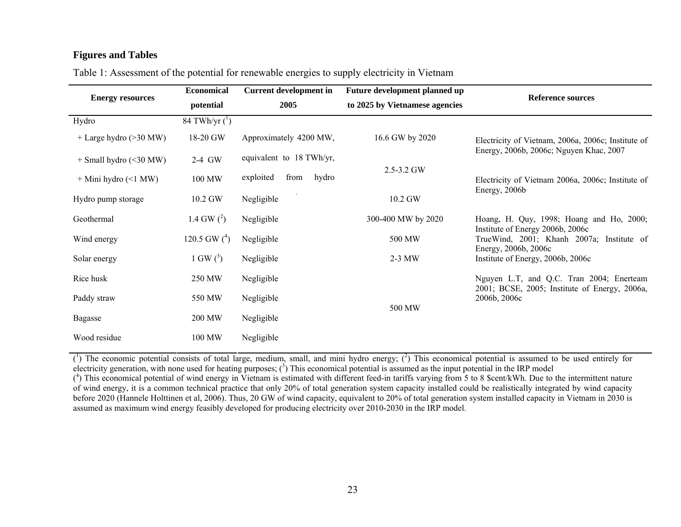### **Figures and Tables**

| <b>Energy resources</b>  | <b>Economical</b>    | <b>Current development in</b> | Future development planned up  | <b>Reference sources</b>                                                                      |  |  |
|--------------------------|----------------------|-------------------------------|--------------------------------|-----------------------------------------------------------------------------------------------|--|--|
|                          | <i>potential</i>     | 2005                          | to 2025 by Vietnamese agencies |                                                                                               |  |  |
| Hydro                    | 84 TWh/yr $({}^{1})$ |                               |                                |                                                                                               |  |  |
| $+$ Large hydro (>30 MW) | 18-20 GW             | Approximately 4200 MW,        | 16.6 GW by 2020                | Electricity of Vietnam, 2006a, 2006c; Institute of<br>Energy, 2006b, 2006c; Nguyen Khac, 2007 |  |  |
| $+$ Small hydro (<30 MW) | 2-4 GW               | equivalent to 18 TWh/yr,      |                                |                                                                                               |  |  |
| $+$ Mini hydro (<1 MW)   | 100 MW               | exploited<br>from<br>hydro    | 2.5-3.2 GW                     | Electricity of Vietnam 2006a, 2006c; Institute of<br>Energy, 2006b                            |  |  |
| Hydro pump storage       | 10.2 GW              | Negligible                    | 10.2 GW                        |                                                                                               |  |  |
| Geothermal               | 1.4 GW $(^2)$        | Negligible                    | 300-400 MW by 2020             | Hoang, H. Quy, 1998; Hoang and Ho, 2000;<br>Institute of Energy 2006b, 2006c                  |  |  |
| Wind energy              | 120.5 GW $(^4)$      | Negligible                    | 500 MW                         | TrueWind, 2001; Khanh 2007a; Institute of<br>Energy, 2006b, 2006c                             |  |  |
| Solar energy             | 1 GW $(3)$           | Negligible                    | $2-3$ MW                       | Institute of Energy, 2006b, 2006c                                                             |  |  |
| Rice husk                | 250 MW               | Negligible                    |                                | Nguyen L.T, and Q.C. Tran 2004; Enerteam<br>2001; BCSE, 2005; Institute of Energy, 2006a,     |  |  |
| Paddy straw              | 550 MW               | Negligible                    |                                | 2006b, 2006c                                                                                  |  |  |
| Bagasse                  | 200 MW               | Negligible                    | 500 MW                         |                                                                                               |  |  |
| Wood residue             | 100 MW               | Negligible                    |                                |                                                                                               |  |  |

Table 1: Assessment of the potential for renewable energies to supply electricity in Vietnam

 $(1)$  The economic potential consists of total large, medium, small, and mini hydro energy;  $(2)$  This economical potential is assumed to be used entirely for electricity generation, with none used for heating purposes;  $(3)$  This economical potential is assumed as the input potential in the IRP model

 $(4)$  This economical potential of wind energy in Vietnam is estimated with different feed-in tariffs varying from 5 to 8 \$cent/kWh. Due to the intermittent nature of wind energy, it is a common technical practice that only 20% of total generation system capacity installed could be realistically integrated by wind capacity before 2020 (Hannele Holttinen et al, 2006). Thus, 20 GW of wind capacity, equivalent to 20% of total generation system installed capacity in Vietnam in 2030 is assumed as maximum wind energy feasibly developed for producing electricity over 2010-2030 in the IRP model.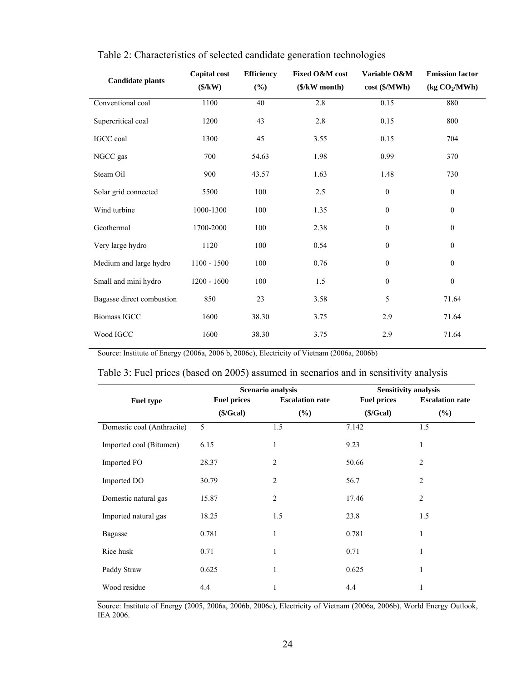| <b>Candidate plants</b>   | <b>Capital</b> cost<br>$(\frac{K}{W})$ | <b>Efficiency</b><br>$(\%)$ | Fixed O&M cost<br>$($/kW$ month) | Variable O&M<br>cost (\$/MWh) | <b>Emission factor</b><br>(kg CO <sub>2</sub> /MWh) |
|---------------------------|----------------------------------------|-----------------------------|----------------------------------|-------------------------------|-----------------------------------------------------|
| Conventional coal         | 1100                                   | 40                          | 2.8                              | 0.15                          | 880                                                 |
| Supercritical coal        | 1200                                   | 43                          | 2.8                              | 0.15                          | 800                                                 |
| IGCC coal                 | 1300                                   | 45                          | 3.55                             | 0.15                          | 704                                                 |
| NGCC gas                  | 700                                    | 54.63                       | 1.98                             | 0.99                          | 370                                                 |
| Steam Oil                 | 900                                    | 43.57                       | 1.63                             | 1.48                          | 730                                                 |
| Solar grid connected      | 5500                                   | 100                         | 2.5                              | $\boldsymbol{0}$              | $\boldsymbol{0}$                                    |
| Wind turbine              | 1000-1300                              | 100                         | 1.35                             | $\mathbf{0}$                  | $\mathbf{0}$                                        |
| Geothermal                | 1700-2000                              | 100                         | 2.38                             | $\boldsymbol{0}$              | $\boldsymbol{0}$                                    |
| Very large hydro          | 1120                                   | 100                         | 0.54                             | $\mathbf{0}$                  | $\mathbf{0}$                                        |
| Medium and large hydro    | $1100 - 1500$                          | 100                         | 0.76                             | $\boldsymbol{0}$              | $\boldsymbol{0}$                                    |
| Small and mini hydro      | $1200 - 1600$                          | 100                         | 1.5                              | $\boldsymbol{0}$              | $\boldsymbol{0}$                                    |
| Bagasse direct combustion | 850                                    | 23                          | 3.58                             | 5                             | 71.64                                               |
| <b>Biomass IGCC</b>       | 1600                                   | 38.30                       | 3.75                             | 2.9                           | 71.64                                               |
| Wood IGCC                 | 1600                                   | 38.30                       | 3.75                             | 2.9                           | 71.64                                               |

| Table 2: Characteristics of selected candidate generation technologies |  |  |
|------------------------------------------------------------------------|--|--|
|                                                                        |  |  |

Source: Institute of Energy (2006a, 2006 b, 2006c), Electricity of Vietnam (2006a, 2006b)

### Table 3: Fuel prices (based on 2005) assumed in scenarios and in sensitivity analysis

|                            |                    | Scenario analysis      | <b>Sensitivity analysis</b> |                        |  |  |
|----------------------------|--------------------|------------------------|-----------------------------|------------------------|--|--|
| <b>Fuel type</b>           | <b>Fuel prices</b> | <b>Escalation rate</b> | <b>Fuel prices</b>          | <b>Escalation rate</b> |  |  |
|                            | (\$/Geal)          | $(\%)$                 | (\$/Geal)                   | $(\%)$                 |  |  |
| Domestic coal (Anthracite) | 5                  | 1.5                    | 7.142                       | 1.5                    |  |  |
| Imported coal (Bitumen)    | 6.15               | $\mathbf{1}$           | 9.23                        | $\mathbf{1}$           |  |  |
| Imported FO                | 28.37              | $\overline{2}$         | 50.66                       | 2                      |  |  |
| Imported DO                | 30.79              | $\overline{2}$         | 56.7                        | $\overline{c}$         |  |  |
| Domestic natural gas       | 15.87              | $\overline{2}$         | 17.46                       | $\overline{2}$         |  |  |
| Imported natural gas       | 18.25              | 1.5                    | 23.8                        | 1.5                    |  |  |
| <b>Bagasse</b>             | 0.781              | $\mathbf{1}$           | 0.781                       | 1                      |  |  |
| Rice husk                  | 0.71               | 1                      | 0.71                        | 1                      |  |  |
| Paddy Straw                | 0.625              | 1                      | 0.625                       | 1                      |  |  |
| Wood residue               | 4.4                | 1                      | 4.4                         | 1                      |  |  |

Source: Institute of Energy (2005, 2006a, 2006b, 2006c), Electricity of Vietnam (2006a, 2006b), World Energy Outlook, IEA 2006.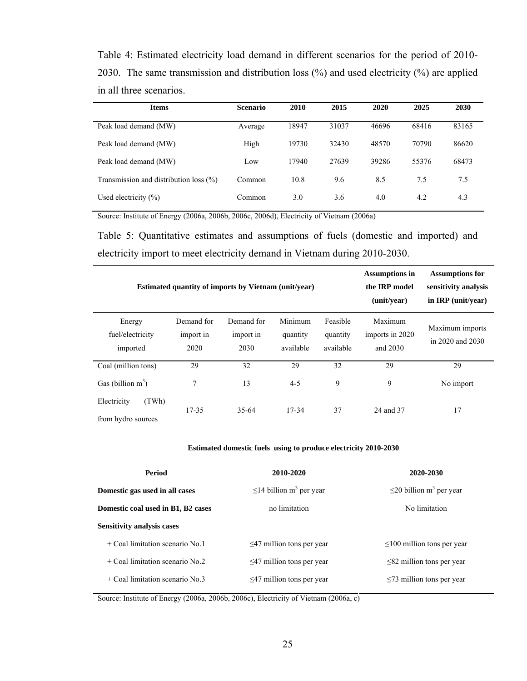Table 4: Estimated electricity load demand in different scenarios for the period of 2010- 2030. The same transmission and distribution loss (%) and used electricity (%) are applied in all three scenarios.

| <b>Items</b>                              | <b>Scenario</b> | 2010  | 2015  | 2020  | 2025  | 2030  |
|-------------------------------------------|-----------------|-------|-------|-------|-------|-------|
| Peak load demand (MW)                     | Average         | 18947 | 31037 | 46696 | 68416 | 83165 |
| Peak load demand (MW)                     | High            | 19730 | 32430 | 48570 | 70790 | 86620 |
| Peak load demand (MW)                     | Low             | 17940 | 27639 | 39286 | 55376 | 68473 |
| Transmission and distribution loss $(\%)$ | Common          | 10.8  | 9.6   | 8.5   | 7.5   | 7.5   |
| Used electricity $(\% )$                  | Common          | 3.0   | 3.6   | 4.0   | 4.2   | 4.3   |

Source: Institute of Energy (2006a, 2006b, 2006c, 2006d), Electricity of Vietnam (2006a)

Table 5: Quantitative estimates and assumptions of fuels (domestic and imported) and electricity import to meet electricity demand in Vietnam during 2010-2030.

|                                            | <b>Estimated quantity of imports by Vietnam (unit/year)</b> | <b>Assumptions in</b><br>the IRP model<br>(unit/year) | <b>Assumptions for</b><br>sensitivity analysis<br>in $IRP$ (unit/year) |                                   |                                        |                                     |
|--------------------------------------------|-------------------------------------------------------------|-------------------------------------------------------|------------------------------------------------------------------------|-----------------------------------|----------------------------------------|-------------------------------------|
| Energy<br>fuel/electricity<br>imported     | Demand for<br>import in<br>2020                             | Demand for<br>import in<br>2030                       | Minimum<br>quantity<br>available                                       | Feasible<br>quantity<br>available | Maximum<br>imports in 2020<br>and 2030 | Maximum imports<br>in 2020 and 2030 |
| Coal (million tons)                        | 29                                                          | 32                                                    | 29                                                                     | 32                                | 29                                     | 29                                  |
| Gas (billion $m^3$ )                       | 7                                                           | 13                                                    | $4 - 5$                                                                | 9                                 | 9                                      | No import                           |
| (TWh)<br>Electricity<br>from hydro sources | 17-35                                                       | $35-64$                                               | 17-34                                                                  | 37                                | 24 and 37                              | 17                                  |

#### **Estimated domestic fuels using to produce electricity 2010-2030**

| Period                             | 2010-2020                                 | 2020-2030                                 |
|------------------------------------|-------------------------------------------|-------------------------------------------|
| Domestic gas used in all cases     | $\leq$ 14 billion m <sup>3</sup> per year | $\leq$ 20 billion m <sup>3</sup> per year |
| Domestic coal used in B1, B2 cases | no limitation                             | No limitation                             |
| <b>Sensitivity analysis cases</b>  |                                           |                                           |
| $+$ Coal limitation scenario No.1  | $\leq$ 47 million tons per year           | $\leq 100$ million tons per year          |
| $+$ Coal limitation scenario No.2  | $\leq$ 47 million tons per year           | $\leq$ 82 million tons per year           |
| $+$ Coal limitation scenario No.3  | $\leq$ 47 million tons per year           | $\leq$ 73 million tons per year           |

Source: Institute of Energy (2006a, 2006b, 2006c), Electricity of Vietnam (2006a, c)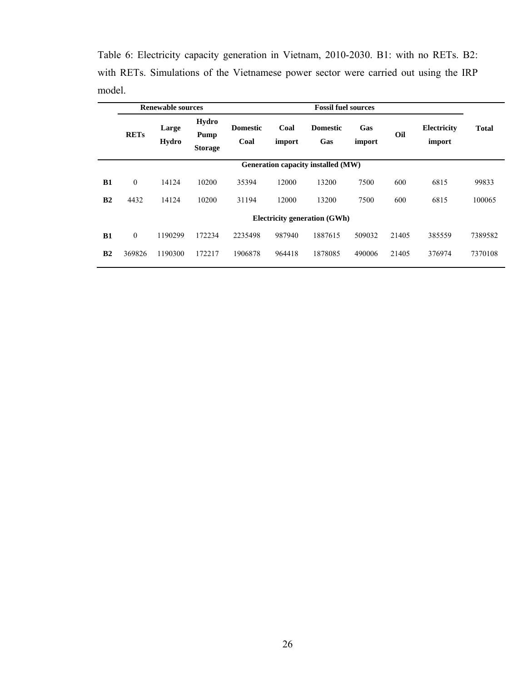|                                    |              | <b>Renewable sources</b> |                                                                                                                         |         | <b>Fossil fuel sources</b> |                                     |                       |              |        |         |  |  |
|------------------------------------|--------------|--------------------------|-------------------------------------------------------------------------------------------------------------------------|---------|----------------------------|-------------------------------------|-----------------------|--------------|--------|---------|--|--|
|                                    | <b>RETs</b>  | Large<br>Hydro           | Hydro<br>Gas<br>Coal<br><b>Domestic</b><br><b>Domestic</b><br>Pump<br>Coal<br>Gas<br>import<br>import<br><b>Storage</b> |         |                            | Oil                                 | Electricity<br>import | <b>Total</b> |        |         |  |  |
| Generation capacity installed (MW) |              |                          |                                                                                                                         |         |                            |                                     |                       |              |        |         |  |  |
| <b>B1</b>                          | $\mathbf{0}$ | 14124                    | 10200                                                                                                                   | 35394   | 12000                      | 13200                               | 7500                  | 600          | 6815   | 99833   |  |  |
| B <sub>2</sub>                     | 4432         | 14124                    | 10200                                                                                                                   | 31194   | 12000                      | 13200                               | 7500                  | 600          | 6815   | 100065  |  |  |
|                                    |              |                          |                                                                                                                         |         |                            | <b>Electricity generation (GWh)</b> |                       |              |        |         |  |  |
| B1                                 | $\mathbf{0}$ | 1190299                  | 172234                                                                                                                  | 2235498 | 987940                     | 1887615                             | 509032                | 21405        | 385559 | 7389582 |  |  |
| B <sub>2</sub>                     | 369826       | 1190300                  | 172217                                                                                                                  | 1906878 | 964418                     | 1878085                             | 490006                | 21405        | 376974 | 7370108 |  |  |

Table 6: Electricity capacity generation in Vietnam, 2010-2030. B1: with no RETs. B2: with RETs. Simulations of the Vietnamese power sector were carried out using the IRP model.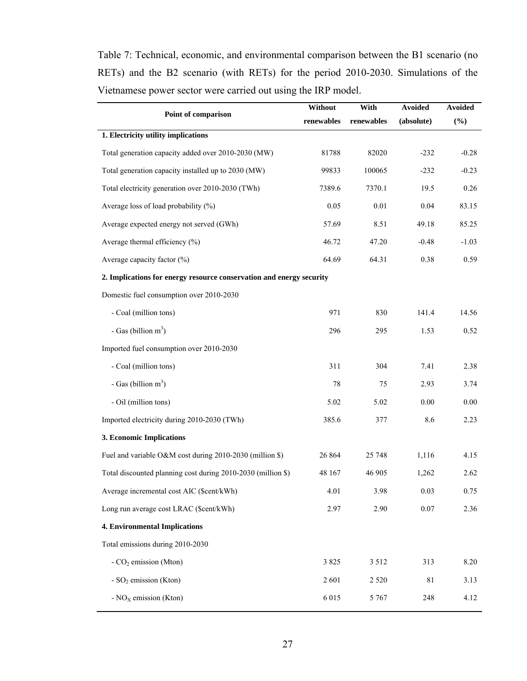Table 7: Technical, economic, and environmental comparison between the B1 scenario (no RETs) and the B2 scenario (with RETs) for the period 2010-2030. Simulations of the Vietnamese power sector were carried out using the IRP model.

|                                                                      | Without    | With       | Avoided    | <b>Avoided</b> |  |
|----------------------------------------------------------------------|------------|------------|------------|----------------|--|
| Point of comparison                                                  | renewables | renewables | (absolute) | $(\%)$         |  |
| 1. Electricity utility implications                                  |            |            |            |                |  |
| Total generation capacity added over 2010-2030 (MW)                  | 81788      | 82020      | $-232$     | $-0.28$        |  |
| Total generation capacity installed up to 2030 (MW)                  | 99833      | 100065     | $-232$     | $-0.23$        |  |
| Total electricity generation over 2010-2030 (TWh)                    | 7389.6     | 7370.1     | 19.5       | 0.26           |  |
| Average loss of load probability (%)                                 | 0.05       | $0.01\,$   | 0.04       | 83.15          |  |
| Average expected energy not served (GWh)                             | 57.69      | 8.51       | 49.18      | 85.25          |  |
| Average thermal efficiency (%)                                       | 46.72      | 47.20      | $-0.48$    | $-1.03$        |  |
| Average capacity factor (%)                                          | 64.69      | 64.31      | 0.38       | 0.59           |  |
| 2. Implications for energy resource conservation and energy security |            |            |            |                |  |
| Domestic fuel consumption over 2010-2030                             |            |            |            |                |  |
| - Coal (million tons)                                                | 971        | 830        | 141.4      | 14.56          |  |
| - Gas (billion $m^3$ )                                               | 296        | 295        | 1.53       | 0.52           |  |
| Imported fuel consumption over 2010-2030                             |            |            |            |                |  |
| - Coal (million tons)                                                | 311        | 304        | 7.41       | 2.38           |  |
| - Gas (billion $m^3$ )                                               | 78         | 75         | 2.93       | 3.74           |  |
| - Oil (million tons)                                                 | 5.02       | 5.02       | 0.00       | 0.00           |  |
| Imported electricity during 2010-2030 (TWh)                          | 385.6      | 377        | 8.6        | 2.23           |  |
| 3. Economic Implications                                             |            |            |            |                |  |
| Fuel and variable O&M cost during 2010-2030 (million \$)             | 26 864     | 25 748     | 1,116      | 4.15           |  |
| Total discounted planning cost during 2010-2030 (million \$)         | 48 167     | 46 905     | 1,262      | 2.62           |  |
| Average incremental cost AIC (\$cent/kWh)                            | 4.01       | 3.98       | 0.03       | 0.75           |  |
| Long run average cost LRAC (\$cent/kWh)                              | 2.97       | 2.90       | 0.07       | 2.36           |  |
| <b>4. Environmental Implications</b>                                 |            |            |            |                |  |
| Total emissions during 2010-2030                                     |            |            |            |                |  |
| - $CO2$ emission (Mton)                                              | 3 8 2 5    | 3 5 1 2    | 313        | 8.20           |  |
| - $SO_2$ emission (Kton)                                             | 2601       | 2 5 2 0    | 81         | 3.13           |  |
| - $NOX$ emission (Kton)                                              | 6 0 1 5    | 5 7 6 7    | 248        | 4.12           |  |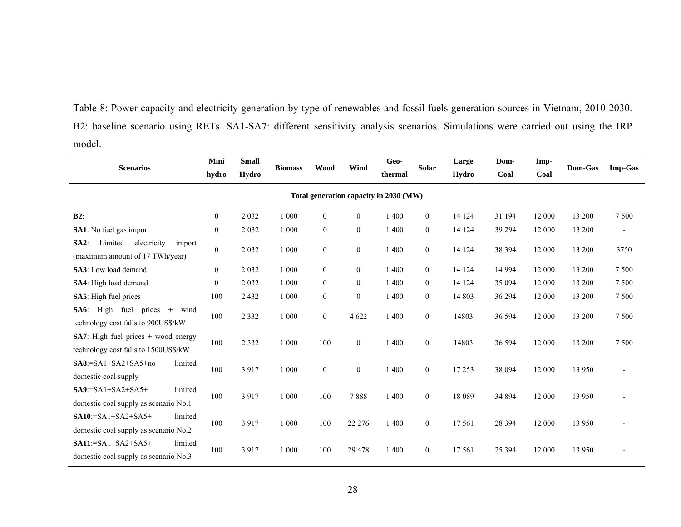Table 8: Power capacity and electricity generation by type of renewables and fossil fuels generation sources in Vietnam, 2010-2030. B2: baseline scenario using RETs. SA1-SA7: different sensitivity analysis scenarios. Simulations were carried out using the IRP model.

| <b>Scenarios</b>                                                                           | Mini<br>hydro    | <b>Small</b><br>Hydro | <b>Biomass</b> | Wood             | Wind             | Geo-<br>thermal | <b>Solar</b>     | Large<br>Hydro | Dom-<br>Coal | Imp-<br>Coal | Dom-Gas | <b>Imp-Gas</b> |
|--------------------------------------------------------------------------------------------|------------------|-----------------------|----------------|------------------|------------------|-----------------|------------------|----------------|--------------|--------------|---------|----------------|
| Total generation capacity in 2030 (MW)                                                     |                  |                       |                |                  |                  |                 |                  |                |              |              |         |                |
| $B2$ :                                                                                     | $\boldsymbol{0}$ | 2 0 3 2               | 1 0 0 0        | $\boldsymbol{0}$ | $\theta$         | 1 400           | $\mathbf{0}$     | 14 124         | 31 194       | 12 000       | 13 200  | 7 5 0 0        |
| <b>SA1</b> : No fuel gas import                                                            | $\overline{0}$   | 2 0 3 2               | 1 000          | $\boldsymbol{0}$ | $\mathbf{0}$     | 1 400           | $\boldsymbol{0}$ | 14 124         | 39 29 4      | 12 000       | 13 200  | $\blacksquare$ |
| Limited<br>$SA2$ :<br>electricity<br>import<br>(maximum amount of 17 TWh/year)             | $\boldsymbol{0}$ | 2 0 3 2               | 1 000          | $\boldsymbol{0}$ | $\boldsymbol{0}$ | 1 400           | $\boldsymbol{0}$ | 14 124         | 38 394       | 12 000       | 13 200  | 3750           |
| <b>SA3</b> : Low load demand                                                               | $\mathbf{0}$     | 2 0 3 2               | 1 0 0 0        | $\boldsymbol{0}$ | $\mathbf{0}$     | 1 400           | $\boldsymbol{0}$ | 14 124         | 14 9 94      | 12 000       | 13 200  | 7 500          |
| SA4: High load demand                                                                      | $\boldsymbol{0}$ | 2 0 3 2               | 1 000          | $\boldsymbol{0}$ | $\mathbf{0}$     | 1 400           | $\mathbf{0}$     | 14 124         | 35 094       | 12 000       | 13 200  | 7 500          |
| SA5: High fuel prices                                                                      | 100              | 2 4 3 2               | 1 0 0 0        | $\boldsymbol{0}$ | $\mathbf{0}$     | 1 400           | $\boldsymbol{0}$ | 14 803         | 36 294       | 12 000       | 13 200  | 7 500          |
| High fuel<br>$S\mathbf{A6}$ :<br>prices $+$<br>wind<br>technology cost falls to 900US\$/kW | 100              | 2 3 3 2               | 1 0 0 0        | $\mathbf{0}$     | 4 6 22           | 1 400           | $\overline{0}$   | 14803          | 36 594       | 12 000       | 13 200  | 7 500          |
| <b>SA7</b> : High fuel prices $+$ wood energy<br>technology cost falls to 1500US\$/kW      | 100              | 2 3 3 2               | 1 0 0 0        | 100              | $\boldsymbol{0}$ | 1 400           | $\mathbf{0}$     | 14803          | 36 594       | 12 000       | 13 200  | 7 500          |
| $SA8 = SA1 + SA2 + SA5 + no$<br>limited<br>domestic coal supply                            | 100              | 3 9 1 7               | 1 000          | $\boldsymbol{0}$ | $\overline{0}$   | 1 400           | $\boldsymbol{0}$ | 17 253         | 38 094       | 12 000       | 13 950  |                |
| $SA9:=SA1+SA2+SA5+$<br>limited<br>domestic coal supply as scenario No.1                    | 100              | 3917                  | 1 0 0 0        | 100              | 7888             | 1 400           | $\boldsymbol{0}$ | 18 0 89        | 34 894       | 12 000       | 13 950  |                |
| $SA10:=SA1+SA2+SA5+$<br>limited<br>domestic coal supply as scenario No.2                   | 100              | 3917                  | 1 0 0 0        | 100              | 22 276           | 1 400           | $\boldsymbol{0}$ | 17561          | 28 3 9 4     | 12 000       | 13 950  |                |
| $SA11:=SA1+SA2+SA5+$<br>limited<br>domestic coal supply as scenario No.3                   | 100              | 3 9 1 7               | 1 0 0 0        | 100              | 29 4 7 8         | 1 400           | $\boldsymbol{0}$ | 17561          | 25 3 9 4     | 12 000       | 13 950  |                |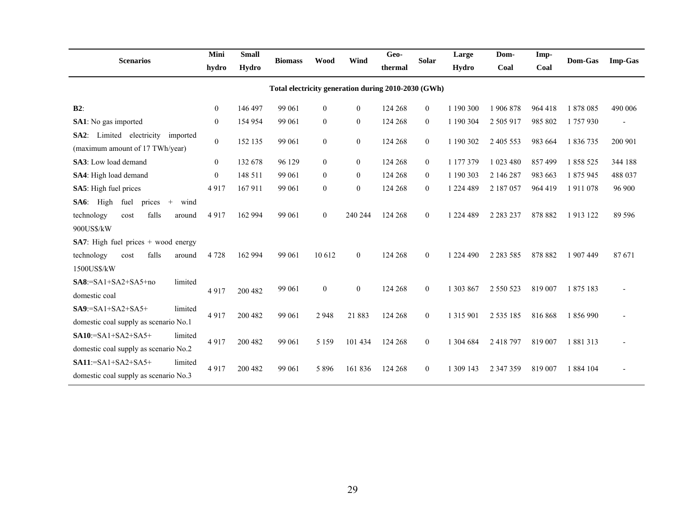| <b>Scenarios</b>                                                                                          | Mini           | <b>Small</b> |                | Wood             | Wind             | Geo-    | <b>Solar</b>     | Large         | Dom-          | Imp-    | Dom-Gas   |                |
|-----------------------------------------------------------------------------------------------------------|----------------|--------------|----------------|------------------|------------------|---------|------------------|---------------|---------------|---------|-----------|----------------|
|                                                                                                           | hydro          | Hydro        | <b>Biomass</b> |                  |                  | thermal |                  | Hydro         | Coal          | Coal    |           | <b>Imp-Gas</b> |
| Total electricity generation during 2010-2030 (GWh)                                                       |                |              |                |                  |                  |         |                  |               |               |         |           |                |
| $B2$ :                                                                                                    | $\overline{0}$ | 146 497      | 99 061         | $\mathbf{0}$     | $\mathbf{0}$     | 124 268 | $\overline{0}$   | 1 190 300     | 1906878       | 964 418 | 1878085   | 490 006        |
| <b>SA1</b> : No gas imported                                                                              | $\overline{0}$ | 154 954      | 99 061         | $\mathbf{0}$     | $\mathbf{0}$     | 124 268 | $\boldsymbol{0}$ | 1 190 304     | 2 505 917     | 985 802 | 1757930   | $\overline{a}$ |
| Limited electricity<br>imported<br>$SA2$ :<br>(maximum amount of 17 TWh/year)                             | $\theta$       | 152 135      | 99 061         | $\theta$         | $\theta$         | 124 268 | $\overline{0}$   | 1 190 302     | 2 405 553     | 983 664 | 1 836 735 | 200 901        |
| SA3: Low load demand                                                                                      | $\overline{0}$ | 132 678      | 96 129         | $\mathbf{0}$     | $\mathbf{0}$     | 124 268 | $\overline{0}$   | 1 177 379     | 1 023 480     | 857499  | 1858525   | 344 188        |
| SA4: High load demand                                                                                     | $\mathbf{0}$   | 148 511      | 99 061         | $\mathbf{0}$     | $\mathbf{0}$     | 124 268 | $\overline{0}$   | 1 190 303     | 2 146 287     | 983 663 | 1 875 945 | 488 037        |
| SA5: High fuel prices                                                                                     | 4917           | 167911       | 99 061         | $\mathbf{0}$     | $\theta$         | 124 268 | $\mathbf{0}$     | 1 224 489     | 2 187 057     | 964 419 | 1911078   | 96 900         |
| $S\text{A6}$ :<br>High<br>fuel<br>prices +<br>wind<br>falls<br>technology<br>cost<br>around<br>900US\$/kW | 4917           | 162 994      | 99 061         | $\mathbf{0}$     | 240 244          | 124 268 | $\boldsymbol{0}$ | 1 224 489     | 2 2 8 3 2 3 7 | 878 882 | 1913 122  | 89 596         |
| <b>SA7</b> : High fuel prices $+$ wood energy<br>falls<br>technology<br>cost<br>around<br>1500US\$/kW     | 4 7 2 8        | 162 994      | 99 061         | 10 612           | $\mathbf{0}$     | 124 268 | $\mathbf{0}$     | 1 224 490     | 2 2 8 3 5 8 5 | 878 882 | 1 907 449 | 87671          |
| $SA8:=SA1+SA2+SA5+no$<br>limited<br>domestic coal                                                         | 4917           | 200 482      | 99 061         | $\boldsymbol{0}$ | $\boldsymbol{0}$ | 124 268 | $\boldsymbol{0}$ | 1 303 867     | 2 5 5 0 5 2 3 | 819 007 | 1875 183  |                |
| $SA9:=SA1+SA2+SA5+$<br>limited<br>domestic coal supply as scenario No.1                                   | 4917           | 200 482      | 99 061         | 2948             | 21883            | 124 268 | $\mathbf{0}$     | 1 3 1 5 9 0 1 | 2 5 3 5 1 8 5 | 816868  | 1856990   |                |
| $SA10:=SA1+SA2+SA5+$<br>limited<br>domestic coal supply as scenario No.2                                  | 4917           | 200 482      | 99 061         | 5 1 5 9          | 101 434          | 124 268 | $\boldsymbol{0}$ | 1 304 684     | 2 418 797     | 819 007 | 1881313   |                |
| $SA11:=SA1+SA2+SA5+$<br>limited<br>domestic coal supply as scenario No.3                                  | 4917           | 200 482      | 99 061         | 5896             | 161 836          | 124 268 | $\mathbf{0}$     | 1 309 143     | 2 347 359     | 819 007 | 1 884 104 |                |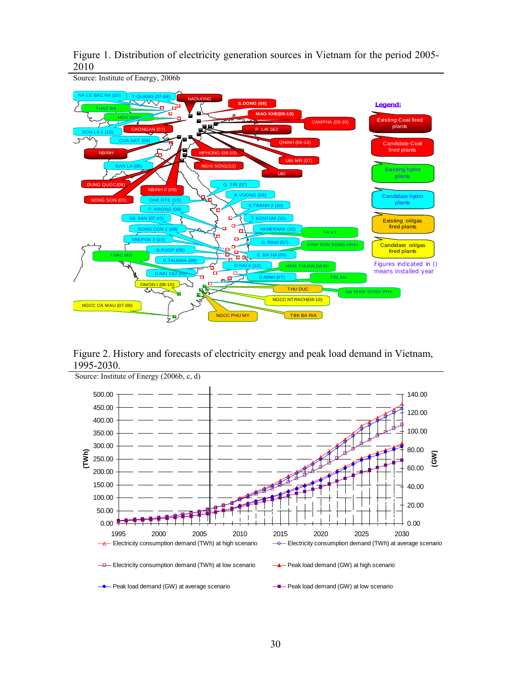



Source: Institute of Energy, 2006b

Figure 2. History and forecasts of electricity energy and peak load demand in Vietnam, 1995-2030.

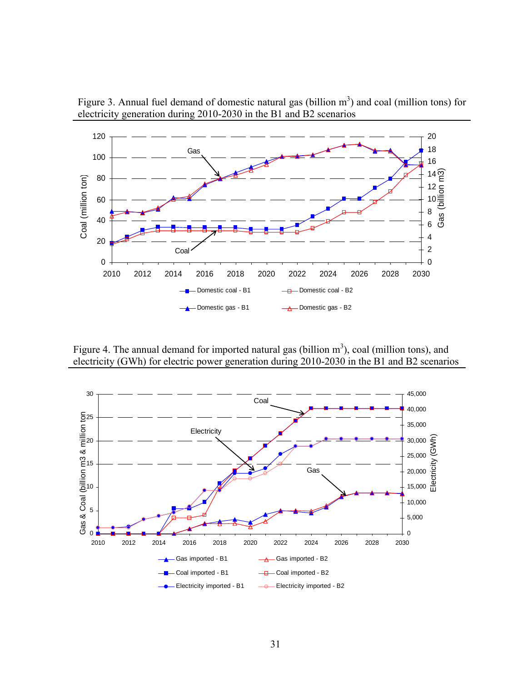

Figure 3. Annual fuel demand of domestic natural gas (billion  $m<sup>3</sup>$ ) and coal (million tons) for electricity generation during 2010-2030 in the B1 and B2 scenarios